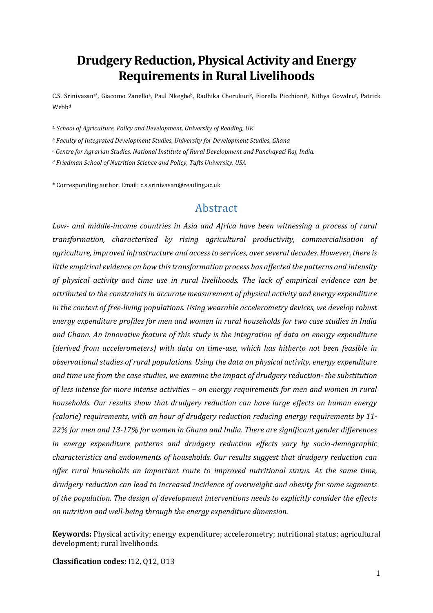# **Drudgery Reduction, Physical Activity and Energy Requirements in Rural Livelihoods**

C.S. Srinivasan<sup>a\*</sup>, Giacomo Zanello<sup>a</sup>, Paul Nkegbe<sup>b</sup>, Radhika Cherukuri<sup>c</sup>, Fiorella Picchioni<sup>a</sup>, Nithya Gowdru<sup>c</sup>, Patrick Webb<sup>d</sup>

a *School of Agriculture, Policy and Development, University of Reading, UK*

*<sup>b</sup> Faculty of Integrated Development Studies, University for Development Studies, Ghana*

*<sup>c</sup> Centre for Agrarian Studies, National Institute of Rural Development and Panchayati Raj, India.*

*<sup>d</sup> Friedman School of Nutrition Science and Policy, Tufts University, USA*

\* Corresponding author. Email: c.s.srinivasan@reading.ac.uk

# Abstract

*Low- and middle-income countries in Asia and Africa have been witnessing a process of rural transformation, characterised by rising agricultural productivity, commercialisation of agriculture, improved infrastructure and access to services, over several decades. However, there is little empirical evidence on how this transformation process has affected the patterns and intensity of physical activity and time use in rural livelihoods. The lack of empirical evidence can be attributed to the constraints in accurate measurement of physical activity and energy expenditure in the context of free-living populations. Using wearable accelerometry devices, we develop robust energy expenditure profiles for men and women in rural households for two case studies in India and Ghana. An innovative feature of this study is the integration of data on energy expenditure (derived from accelerometers) with data on time-use, which has hitherto not been feasible in observational studies of rural populations. Using the data on physical activity, energy expenditure and time use from the case studies, we examine the impact of drudgery reduction- the substitution of less intense for more intense activities – on energy requirements for men and women in rural households. Our results show that drudgery reduction can have large effects on human energy (calorie) requirements, with an hour of drudgery reduction reducing energy requirements by 11- 22% for men and 13-17% for women in Ghana and India. There are significant gender differences in energy expenditure patterns and drudgery reduction effects vary by socio-demographic characteristics and endowments of households. Our results suggest that drudgery reduction can offer rural households an important route to improved nutritional status. At the same time, drudgery reduction can lead to increased incidence of overweight and obesity for some segments of the population. The design of development interventions needs to explicitly consider the effects on nutrition and well-being through the energy expenditure dimension.*

**Keywords:** Physical activity; energy expenditure; accelerometry; nutritional status; agricultural development; rural livelihoods.

**Classification codes:** I12, Q12, O13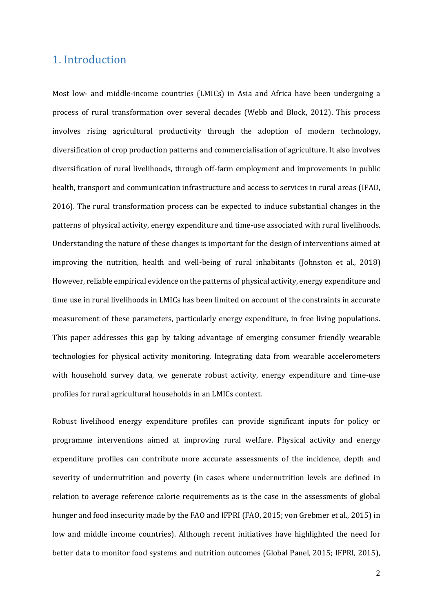## 1. Introduction

Most low- and middle-income countries (LMICs) in Asia and Africa have been undergoing a process of rural transformation over several decades (Webb and Block, 2012). This process involves rising agricultural productivity through the adoption of modern technology, diversification of crop production patterns and commercialisation of agriculture. It also involves diversification of rural livelihoods, through off-farm employment and improvements in public health, transport and communication infrastructure and access to services in rural areas (IFAD, 2016). The rural transformation process can be expected to induce substantial changes in the patterns of physical activity, energy expenditure and time-use associated with rural livelihoods. Understanding the nature of these changes is important for the design of interventions aimed at improving the nutrition, health and well-being of rural inhabitants (Johnston et al., 2018) However, reliable empirical evidence on the patterns of physical activity, energy expenditure and time use in rural livelihoods in LMICs has been limited on account of the constraints in accurate measurement of these parameters, particularly energy expenditure, in free living populations. This paper addresses this gap by taking advantage of emerging consumer friendly wearable technologies for physical activity monitoring. Integrating data from wearable accelerometers with household survey data, we generate robust activity, energy expenditure and time-use profiles for rural agricultural households in an LMICs context.

Robust livelihood energy expenditure profiles can provide significant inputs for policy or programme interventions aimed at improving rural welfare. Physical activity and energy expenditure profiles can contribute more accurate assessments of the incidence, depth and severity of undernutrition and poverty (in cases where undernutrition levels are defined in relation to average reference calorie requirements as is the case in the assessments of global hunger and food insecurity made by the FAO and IFPRI (FAO, 2015; von Grebmer et al., 2015) in low and middle income countries). Although recent initiatives have highlighted the need for better data to monitor food systems and nutrition outcomes (Global Panel, 2015; IFPRI, 2015),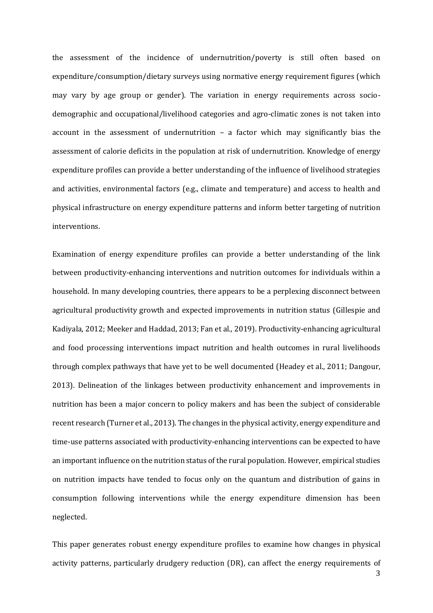the assessment of the incidence of undernutrition/poverty is still often based on expenditure/consumption/dietary surveys using normative energy requirement figures (which may vary by age group or gender). The variation in energy requirements across sociodemographic and occupational/livelihood categories and agro-climatic zones is not taken into account in the assessment of undernutrition – a factor which may significantly bias the assessment of calorie deficits in the population at risk of undernutrition. Knowledge of energy expenditure profiles can provide a better understanding of the influence of livelihood strategies and activities, environmental factors (e.g., climate and temperature) and access to health and physical infrastructure on energy expenditure patterns and inform better targeting of nutrition interventions.

Examination of energy expenditure profiles can provide a better understanding of the link between productivity-enhancing interventions and nutrition outcomes for individuals within a household. In many developing countries, there appears to be a perplexing disconnect between agricultural productivity growth and expected improvements in nutrition status (Gillespie and Kadiyala, 2012; Meeker and Haddad, 2013; Fan et al., 2019). Productivity-enhancing agricultural and food processing interventions impact nutrition and health outcomes in rural livelihoods through complex pathways that have yet to be well documented (Headey et al., 2011; Dangour, 2013). Delineation of the linkages between productivity enhancement and improvements in nutrition has been a major concern to policy makers and has been the subject of considerable recent research (Turner et al., 2013). The changes in the physical activity, energy expenditure and time-use patterns associated with productivity-enhancing interventions can be expected to have an important influence on the nutrition status of the rural population. However, empirical studies on nutrition impacts have tended to focus only on the quantum and distribution of gains in consumption following interventions while the energy expenditure dimension has been neglected.

This paper generates robust energy expenditure profiles to examine how changes in physical activity patterns, particularly drudgery reduction (DR), can affect the energy requirements of

3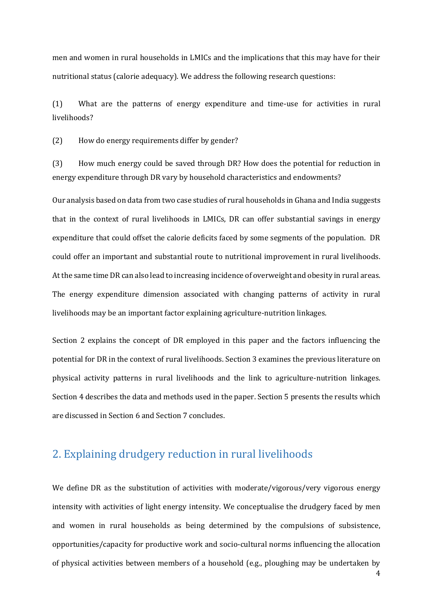men and women in rural households in LMICs and the implications that this may have for their nutritional status (calorie adequacy). We address the following research questions:

(1) What are the patterns of energy expenditure and time-use for activities in rural livelihoods?

(2) How do energy requirements differ by gender?

(3) How much energy could be saved through DR? How does the potential for reduction in energy expenditure through DR vary by household characteristics and endowments?

Our analysis based on data from two case studies of rural households in Ghana and India suggests that in the context of rural livelihoods in LMICs, DR can offer substantial savings in energy expenditure that could offset the calorie deficits faced by some segments of the population. DR could offer an important and substantial route to nutritional improvement in rural livelihoods. At the same time DR can also lead to increasing incidence of overweight and obesity in rural areas. The energy expenditure dimension associated with changing patterns of activity in rural livelihoods may be an important factor explaining agriculture-nutrition linkages.

Section 2 explains the concept of DR employed in this paper and the factors influencing the potential for DR in the context of rural livelihoods. Section 3 examines the previous literature on physical activity patterns in rural livelihoods and the link to agriculture-nutrition linkages. Section 4 describes the data and methods used in the paper. Section 5 presents the results which are discussed in Section 6 and Section 7 concludes.

# 2. Explaining drudgery reduction in rural livelihoods

We define DR as the substitution of activities with moderate/vigorous/very vigorous energy intensity with activities of light energy intensity. We conceptualise the drudgery faced by men and women in rural households as being determined by the compulsions of subsistence, opportunities/capacity for productive work and socio-cultural norms influencing the allocation of physical activities between members of a household (e.g., ploughing may be undertaken by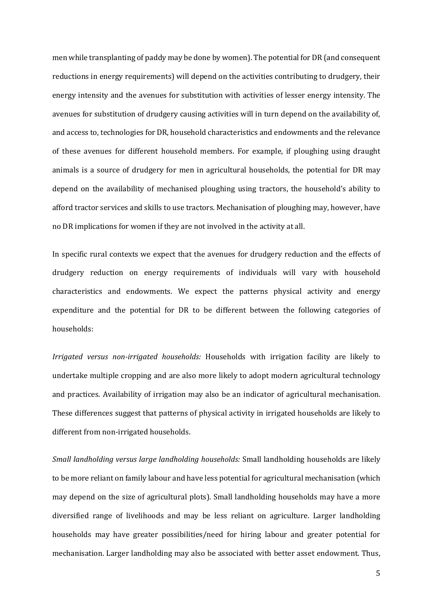men while transplanting of paddy may be done by women). The potential for DR (and consequent reductions in energy requirements) will depend on the activities contributing to drudgery, their energy intensity and the avenues for substitution with activities of lesser energy intensity. The avenues for substitution of drudgery causing activities will in turn depend on the availability of, and access to, technologies for DR, household characteristics and endowments and the relevance of these avenues for different household members. For example, if ploughing using draught animals is a source of drudgery for men in agricultural households, the potential for DR may depend on the availability of mechanised ploughing using tractors, the household's ability to afford tractor services and skills to use tractors. Mechanisation of ploughing may, however, have no DR implications for women if they are not involved in the activity at all.

In specific rural contexts we expect that the avenues for drudgery reduction and the effects of drudgery reduction on energy requirements of individuals will vary with household characteristics and endowments. We expect the patterns physical activity and energy expenditure and the potential for DR to be different between the following categories of households:

*Irrigated versus non-irrigated households:* Households with irrigation facility are likely to undertake multiple cropping and are also more likely to adopt modern agricultural technology and practices. Availability of irrigation may also be an indicator of agricultural mechanisation. These differences suggest that patterns of physical activity in irrigated households are likely to different from non-irrigated households.

*Small landholding versus large landholding households:* Small landholding households are likely to be more reliant on family labour and have less potential for agricultural mechanisation (which may depend on the size of agricultural plots). Small landholding households may have a more diversified range of livelihoods and may be less reliant on agriculture. Larger landholding households may have greater possibilities/need for hiring labour and greater potential for mechanisation. Larger landholding may also be associated with better asset endowment. Thus,

5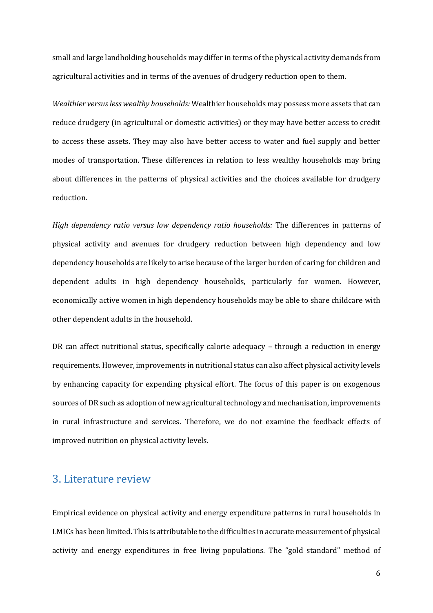small and large landholding households may differ in terms of the physical activity demands from agricultural activities and in terms of the avenues of drudgery reduction open to them.

*Wealthier versus less wealthy households:* Wealthier households may possess more assets that can reduce drudgery (in agricultural or domestic activities) or they may have better access to credit to access these assets. They may also have better access to water and fuel supply and better modes of transportation. These differences in relation to less wealthy households may bring about differences in the patterns of physical activities and the choices available for drudgery reduction.

*High dependency ratio versus low dependency ratio households:* The differences in patterns of physical activity and avenues for drudgery reduction between high dependency and low dependency households are likely to arise because of the larger burden of caring for children and dependent adults in high dependency households, particularly for women. However, economically active women in high dependency households may be able to share childcare with other dependent adults in the household.

DR can affect nutritional status, specifically calorie adequacy – through a reduction in energy requirements. However, improvements in nutritional status can also affect physical activity levels by enhancing capacity for expending physical effort. The focus of this paper is on exogenous sources of DR such as adoption of new agricultural technology and mechanisation, improvements in rural infrastructure and services. Therefore, we do not examine the feedback effects of improved nutrition on physical activity levels.

# 3. Literature review

Empirical evidence on physical activity and energy expenditure patterns in rural households in LMICs has been limited. This is attributable to the difficulties in accurate measurement of physical activity and energy expenditures in free living populations. The "gold standard" method of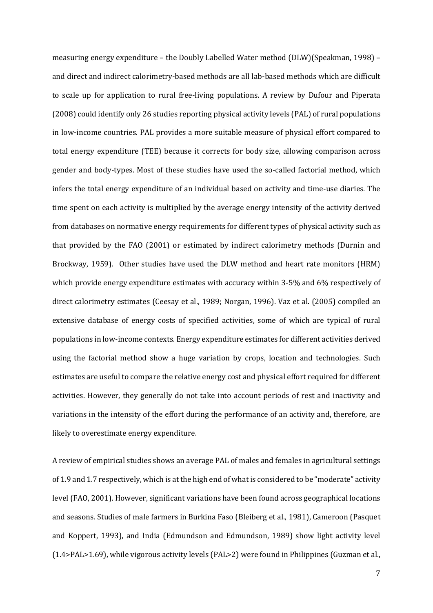measuring energy expenditure – the Doubly Labelled Water method (DLW)(Speakman, 1998) – and direct and indirect calorimetry-based methods are all lab-based methods which are difficult to scale up for application to rural free-living populations. A review by Dufour and Piperata (2008) could identify only 26 studies reporting physical activity levels (PAL) of rural populations in low-income countries. PAL provides a more suitable measure of physical effort compared to total energy expenditure (TEE) because it corrects for body size, allowing comparison across gender and body-types. Most of these studies have used the so-called factorial method, which infers the total energy expenditure of an individual based on activity and time-use diaries. The time spent on each activity is multiplied by the average energy intensity of the activity derived from databases on normative energy requirements for different types of physical activity such as that provided by the FAO (2001) or estimated by indirect calorimetry methods (Durnin and Brockway, 1959). Other studies have used the DLW method and heart rate monitors (HRM) which provide energy expenditure estimates with accuracy within 3-5% and 6% respectively of direct calorimetry estimates (Ceesay et al., 1989; Norgan, 1996). Vaz et al. (2005) compiled an extensive database of energy costs of specified activities, some of which are typical of rural populations in low-income contexts. Energy expenditure estimates for different activities derived using the factorial method show a huge variation by crops, location and technologies. Such estimates are useful to compare the relative energy cost and physical effort required for different activities. However, they generally do not take into account periods of rest and inactivity and variations in the intensity of the effort during the performance of an activity and, therefore, are likely to overestimate energy expenditure.

A review of empirical studies shows an average PAL of males and females in agricultural settings of 1.9 and 1.7 respectively, which is at the high end of what is considered to be "moderate" activity level (FAO, 2001). However, significant variations have been found across geographical locations and seasons. Studies of male farmers in Burkina Faso (Bleiberg et al., 1981), Cameroon (Pasquet and Koppert, 1993), and India (Edmundson and Edmundson, 1989) show light activity level (1.4>PAL>1.69), while vigorous activity levels (PAL>2) were found in Philippines (Guzman et al.,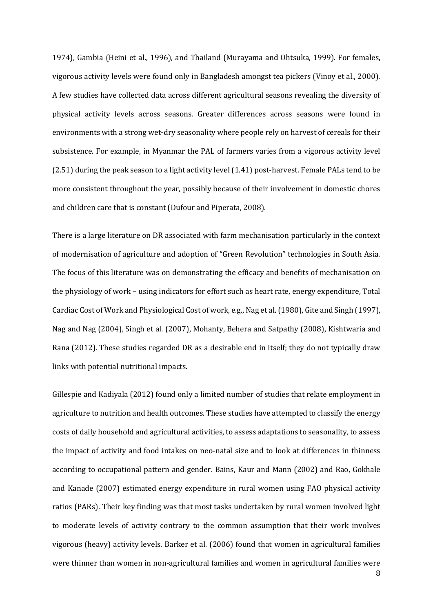1974), Gambia (Heini et al., 1996), and Thailand (Murayama and Ohtsuka, 1999). For females, vigorous activity levels were found only in Bangladesh amongst tea pickers (Vinoy et al., 2000). A few studies have collected data across different agricultural seasons revealing the diversity of physical activity levels across seasons. Greater differences across seasons were found in environments with a strong wet-dry seasonality where people rely on harvest of cereals for their subsistence. For example, in Myanmar the PAL of farmers varies from a vigorous activity level (2.51) during the peak season to a light activity level (1.41) post-harvest. Female PALs tend to be more consistent throughout the year, possibly because of their involvement in domestic chores and children care that is constant (Dufour and Piperata, 2008).

There is a large literature on DR associated with farm mechanisation particularly in the context of modernisation of agriculture and adoption of "Green Revolution" technologies in South Asia. The focus of this literature was on demonstrating the efficacy and benefits of mechanisation on the physiology of work – using indicators for effort such as heart rate, energy expenditure, Total Cardiac Cost of Work and Physiological Cost of work, e.g., Nag et al. (1980), Gite and Singh (1997), Nag and Nag (2004), Singh et al. (2007), Mohanty, Behera and Satpathy (2008), Kishtwaria and Rana (2012). These studies regarded DR as a desirable end in itself; they do not typically draw links with potential nutritional impacts.

Gillespie and Kadiyala (2012) found only a limited number of studies that relate employment in agriculture to nutrition and health outcomes. These studies have attempted to classify the energy costs of daily household and agricultural activities, to assess adaptations to seasonality, to assess the impact of activity and food intakes on neo-natal size and to look at differences in thinness according to occupational pattern and gender. Bains, Kaur and Mann (2002) and Rao, Gokhale and Kanade (2007) estimated energy expenditure in rural women using FAO physical activity ratios (PARs). Their key finding was that most tasks undertaken by rural women involved light to moderate levels of activity contrary to the common assumption that their work involves vigorous (heavy) activity levels. Barker et al. (2006) found that women in agricultural families were thinner than women in non-agricultural families and women in agricultural families were

 $\mathsf{R}$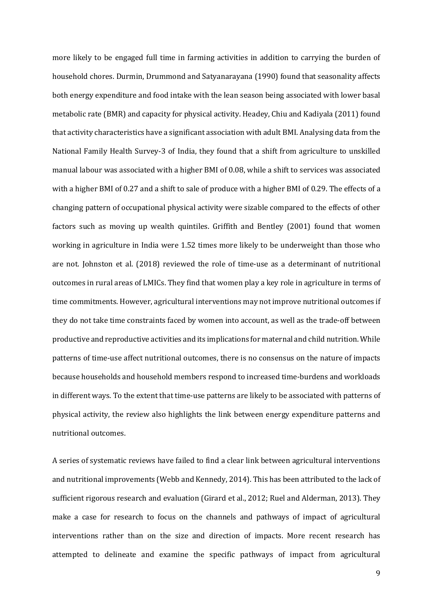more likely to be engaged full time in farming activities in addition to carrying the burden of household chores. Durmin, Drummond and Satyanarayana (1990) found that seasonality affects both energy expenditure and food intake with the lean season being associated with lower basal metabolic rate (BMR) and capacity for physical activity. Headey, Chiu and Kadiyala (2011) found that activity characteristics have a significant association with adult BMI. Analysing data from the National Family Health Survey-3 of India, they found that a shift from agriculture to unskilled manual labour was associated with a higher BMI of 0.08, while a shift to services was associated with a higher BMI of 0.27 and a shift to sale of produce with a higher BMI of 0.29. The effects of a changing pattern of occupational physical activity were sizable compared to the effects of other factors such as moving up wealth quintiles. Griffith and Bentley (2001) found that women working in agriculture in India were 1.52 times more likely to be underweight than those who are not. Johnston et al. (2018) reviewed the role of time-use as a determinant of nutritional outcomes in rural areas of LMICs. They find that women play a key role in agriculture in terms of time commitments. However, agricultural interventions may not improve nutritional outcomes if they do not take time constraints faced by women into account, as well as the trade-off between productive and reproductive activities and its implications for maternal and child nutrition. While patterns of time-use affect nutritional outcomes, there is no consensus on the nature of impacts because households and household members respond to increased time-burdens and workloads in different ways. To the extent that time-use patterns are likely to be associated with patterns of physical activity, the review also highlights the link between energy expenditure patterns and nutritional outcomes.

A series of systematic reviews have failed to find a clear link between agricultural interventions and nutritional improvements (Webb and Kennedy, 2014). This has been attributed to the lack of sufficient rigorous research and evaluation (Girard et al., 2012; Ruel and Alderman, 2013). They make a case for research to focus on the channels and pathways of impact of agricultural interventions rather than on the size and direction of impacts. More recent research has attempted to delineate and examine the specific pathways of impact from agricultural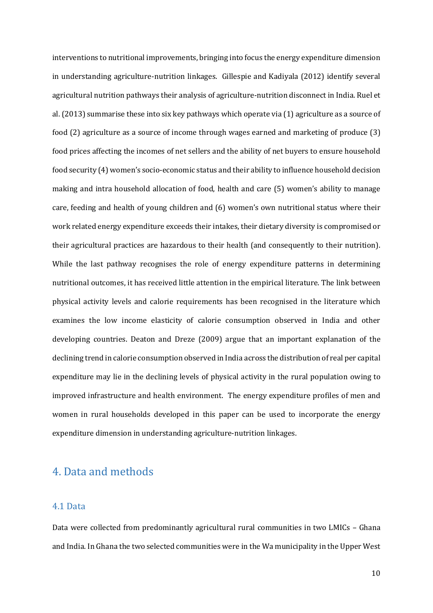interventions to nutritional improvements, bringing into focus the energy expenditure dimension in understanding agriculture-nutrition linkages. Gillespie and Kadiyala (2012) identify several agricultural nutrition pathways their analysis of agriculture-nutrition disconnect in India. Ruel et al. (2013) summarise these into six key pathways which operate via (1) agriculture as a source of food (2) agriculture as a source of income through wages earned and marketing of produce (3) food prices affecting the incomes of net sellers and the ability of net buyers to ensure household food security (4) women's socio-economic status and their ability to influence household decision making and intra household allocation of food, health and care (5) women's ability to manage care, feeding and health of young children and (6) women's own nutritional status where their work related energy expenditure exceeds their intakes, their dietary diversity is compromised or their agricultural practices are hazardous to their health (and consequently to their nutrition). While the last pathway recognises the role of energy expenditure patterns in determining nutritional outcomes, it has received little attention in the empirical literature. The link between physical activity levels and calorie requirements has been recognised in the literature which examines the low income elasticity of calorie consumption observed in India and other developing countries. Deaton and Dreze (2009) argue that an important explanation of the declining trend in calorie consumption observed in India across the distribution of real per capital expenditure may lie in the declining levels of physical activity in the rural population owing to improved infrastructure and health environment. The energy expenditure profiles of men and women in rural households developed in this paper can be used to incorporate the energy expenditure dimension in understanding agriculture-nutrition linkages.

# 4. Data and methods

## 4.1 Data

Data were collected from predominantly agricultural rural communities in two LMICs – Ghana and India. In Ghana the two selected communities were in the Wa municipality in the Upper West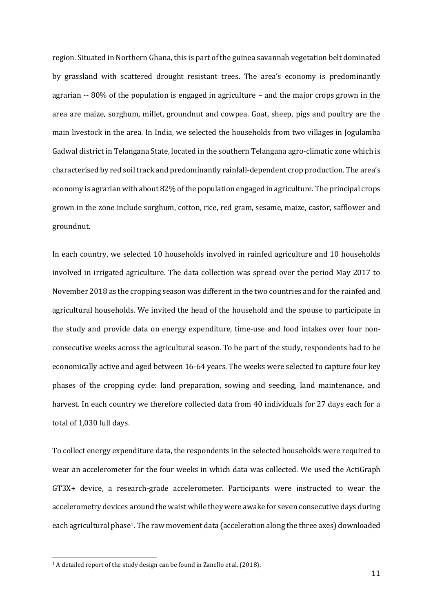region. Situated in Northern Ghana, this is part of the guinea savannah vegetation belt dominated by grassland with scattered drought resistant trees. The area's economy is predominantly agrarian -- 80% of the population is engaged in agriculture – and the major crops grown in the area are maize, sorghum, millet, groundnut and cowpea. Goat, sheep, pigs and poultry are the main livestock in the area. In India, we selected the households from two villages in Jogulamba Gadwal district in Telangana State, located in the southern Telangana agro-climatic zone which is characterised by red soil track and predominantly rainfall-dependent crop production. The area's economy is agrarian with about 82% of the population engaged in agriculture. The principal crops grown in the zone include sorghum, cotton, rice, red gram, sesame, maize, castor, safflower and groundnut.

In each country, we selected 10 households involved in rainfed agriculture and 10 households involved in irrigated agriculture. The data collection was spread over the period May 2017 to November 2018 as the cropping season was different in the two countries and for the rainfed and agricultural households. We invited the head of the household and the spouse to participate in the study and provide data on energy expenditure, time-use and food intakes over four nonconsecutive weeks across the agricultural season. To be part of the study, respondents had to be economically active and aged between 16-64 years. The weeks were selected to capture four key phases of the cropping cycle: land preparation, sowing and seeding, land maintenance, and harvest. In each country we therefore collected data from 40 individuals for 27 days each for a total of 1,030 full days.

To collect energy expenditure data, the respondents in the selected households were required to wear an accelerometer for the four weeks in which data was collected. We used the ActiGraph GT3X+ device, a research-grade accelerometer. Participants were instructed to wear the accelerometry devices around the waist while they were awake for seven consecutive days during each agricultural phase1. The raw movement data (acceleration along the three axes) downloaded

<sup>&</sup>lt;sup>1</sup> A detailed report of the study design can be found in Zanello et al. (2018).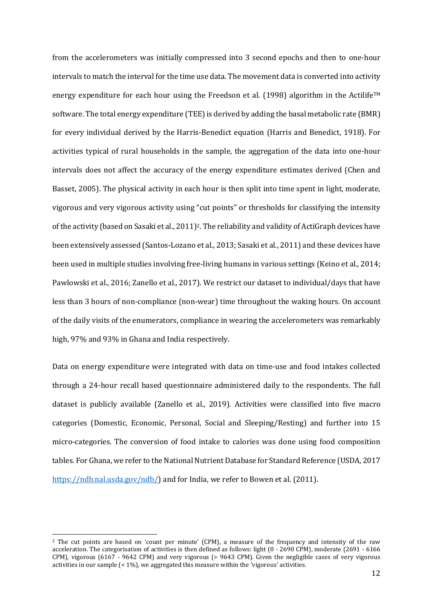from the accelerometers was initially compressed into 3 second epochs and then to one-hour intervals to match the interval for the time use data. The movement data is converted into activity energy expenditure for each hour using the Freedson et al. (1998) algorithm in the Actilife<sup>TM</sup> software. The total energy expenditure (TEE) is derived by adding the basal metabolic rate (BMR) for every individual derived by the Harris-Benedict equation (Harris and Benedict, 1918). For activities typical of rural households in the sample, the aggregation of the data into one-hour intervals does not affect the accuracy of the energy expenditure estimates derived (Chen and Basset, 2005). The physical activity in each hour is then split into time spent in light, moderate, vigorous and very vigorous activity using "cut points" or thresholds for classifying the intensity of the activity (based on Sasaki et al., 2011)2. The reliability and validity of ActiGraph devices have been extensively assessed (Santos-Lozano et al., 2013; Sasaki et al., 2011) and these devices have been used in multiple studies involving free-living humans in various settings (Keino et al., 2014; Pawlowski et al., 2016; Zanello et al., 2017). We restrict our dataset to individual/days that have less than 3 hours of non-compliance (non-wear) time throughout the waking hours. On account of the daily visits of the enumerators, compliance in wearing the accelerometers was remarkably high, 97% and 93% in Ghana and India respectively.

Data on energy expenditure were integrated with data on time-use and food intakes collected through a 24-hour recall based questionnaire administered daily to the respondents. The full dataset is publicly available (Zanello et al., 2019). Activities were classified into five macro categories (Domestic, Economic, Personal, Social and Sleeping/Resting) and further into 15 micro-categories. The conversion of food intake to calories was done using food composition tables. For Ghana, we refer to the National Nutrient Database for Standard Reference (USDA, 2017 [https://ndb.nal.usda.gov/ndb/\)](https://ndb.nal.usda.gov/ndb/) and for India, we refer to Bowen et al. (2011).

<sup>2</sup> The cut points are based on 'count per minute' (CPM), a measure of the frequency and intensity of the raw acceleration. The categorisation of activities is then defined as follows: light (0 - 2690 CPM), moderate (2691 - 6166 CPM), vigorous (6167 - 9642 CPM) and very vigorous (> 9643 CPM). Given the negligible cases of very vigorous activities in our sample (< 1%), we aggregated this measure within the 'vigorous' activities.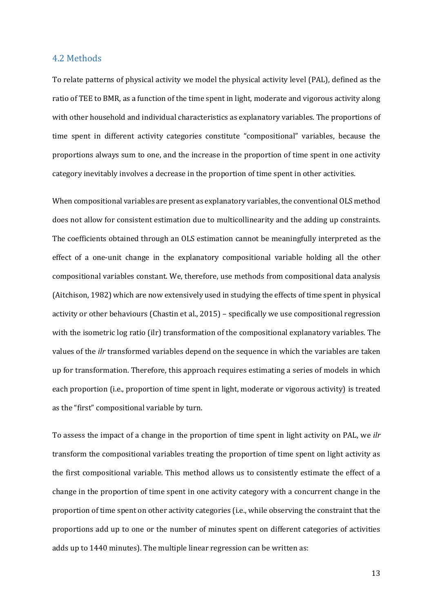#### 4.2 Methods

To relate patterns of physical activity we model the physical activity level (PAL), defined as the ratio of TEE to BMR, as a function of the time spent in light, moderate and vigorous activity along with other household and individual characteristics as explanatory variables. The proportions of time spent in different activity categories constitute "compositional" variables, because the proportions always sum to one, and the increase in the proportion of time spent in one activity category inevitably involves a decrease in the proportion of time spent in other activities.

When compositional variables are present as explanatory variables, the conventional OLS method does not allow for consistent estimation due to multicollinearity and the adding up constraints. The coefficients obtained through an OLS estimation cannot be meaningfully interpreted as the effect of a one-unit change in the explanatory compositional variable holding all the other compositional variables constant. We, therefore, use methods from compositional data analysis (Aitchison, 1982) which are now extensively used in studying the effects of time spent in physical activity or other behaviours (Chastin et al., 2015) – specifically we use compositional regression with the isometric log ratio (ilr) transformation of the compositional explanatory variables. The values of the *ilr* transformed variables depend on the sequence in which the variables are taken up for transformation. Therefore, this approach requires estimating a series of models in which each proportion (i.e., proportion of time spent in light, moderate or vigorous activity) is treated as the "first" compositional variable by turn.

To assess the impact of a change in the proportion of time spent in light activity on PAL, we *ilr*  transform the compositional variables treating the proportion of time spent on light activity as the first compositional variable. This method allows us to consistently estimate the effect of a change in the proportion of time spent in one activity category with a concurrent change in the proportion of time spent on other activity categories (i.e., while observing the constraint that the proportions add up to one or the number of minutes spent on different categories of activities adds up to 1440 minutes). The multiple linear regression can be written as:

13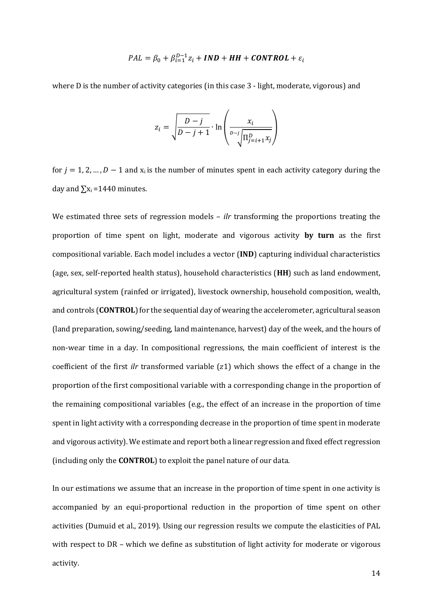$$
PAL = \beta_0 + \beta_{i=1}^{D-1} z_i + IND + HH + CONTROL + \varepsilon_i
$$

where D is the number of activity categories (in this case 3 - light, moderate, vigorous) and

$$
z_i = \sqrt{\frac{D-j}{D-j+1}} \cdot \ln \left( \frac{x_i}{\sqrt{ \prod_{j=i+1}^D x_j}} \right)
$$

for  $j = 1, 2, ..., D - 1$  and  $x_i$  is the number of minutes spent in each activity category during the day and  $\sum x_i = 1440$  minutes.

We estimated three sets of regression models – *ilr* transforming the proportions treating the proportion of time spent on light, moderate and vigorous activity **by turn** as the first compositional variable. Each model includes a vector (**IND**) capturing individual characteristics (age, sex, self-reported health status), household characteristics (**HH**) such as land endowment, agricultural system (rainfed or irrigated), livestock ownership, household composition, wealth, and controls (**CONTROL**) for the sequential day of wearing the accelerometer, agricultural season (land preparation, sowing/seeding, land maintenance, harvest) day of the week, and the hours of non-wear time in a day. In compositional regressions, the main coefficient of interest is the coefficient of the first *ilr* transformed variable (*z*1) which shows the effect of a change in the proportion of the first compositional variable with a corresponding change in the proportion of the remaining compositional variables (e.g., the effect of an increase in the proportion of time spent in light activity with a corresponding decrease in the proportion of time spent in moderate and vigorous activity). We estimate and report both a linear regression and fixed effect regression (including only the **CONTROL**) to exploit the panel nature of our data.

In our estimations we assume that an increase in the proportion of time spent in one activity is accompanied by an equi-proportional reduction in the proportion of time spent on other activities (Dumuid et al., 2019). Using our regression results we compute the elasticities of PAL with respect to DR – which we define as substitution of light activity for moderate or vigorous activity.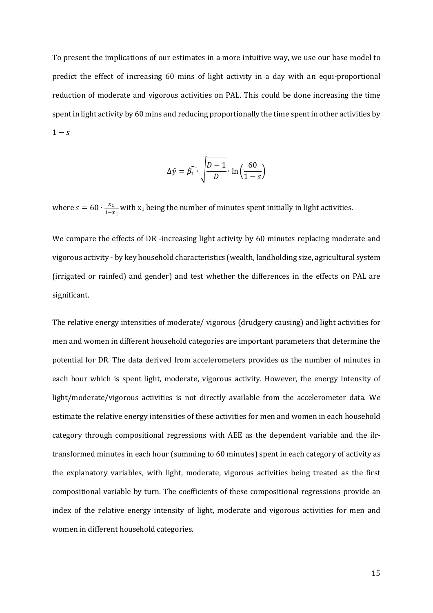To present the implications of our estimates in a more intuitive way, we use our base model to predict the effect of increasing 60 mins of light activity in a day with an equi-proportional reduction of moderate and vigorous activities on PAL. This could be done increasing the time spent in light activity by 60 mins and reducing proportionally the time spent in other activities by  $1 - s$ 

$$
\Delta \hat{y} = \hat{\beta_1} \cdot \sqrt{\frac{D-1}{D}} \cdot \ln\left(\frac{60}{1-s}\right)
$$

where  $s = 60 \cdot \frac{x_1}{1}$  $\frac{x_1}{1-x_1}$  with  $x_1$  being the number of minutes spent initially in light activities.

We compare the effects of DR -increasing light activity by 60 minutes replacing moderate and vigorous activity - by key household characteristics (wealth, landholding size, agricultural system (irrigated or rainfed) and gender) and test whether the differences in the effects on PAL are significant.

The relative energy intensities of moderate/ vigorous (drudgery causing) and light activities for men and women in different household categories are important parameters that determine the potential for DR. The data derived from accelerometers provides us the number of minutes in each hour which is spent light, moderate, vigorous activity. However, the energy intensity of light/moderate/vigorous activities is not directly available from the accelerometer data. We estimate the relative energy intensities of these activities for men and women in each household category through compositional regressions with AEE as the dependent variable and the ilrtransformed minutes in each hour (summing to 60 minutes) spent in each category of activity as the explanatory variables, with light, moderate, vigorous activities being treated as the first compositional variable by turn. The coefficients of these compositional regressions provide an index of the relative energy intensity of light, moderate and vigorous activities for men and women in different household categories.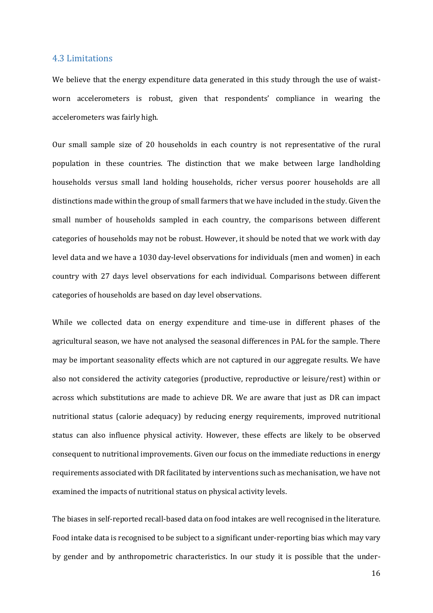#### 4.3 Limitations

We believe that the energy expenditure data generated in this study through the use of waistworn accelerometers is robust, given that respondents' compliance in wearing the accelerometers was fairly high.

Our small sample size of 20 households in each country is not representative of the rural population in these countries. The distinction that we make between large landholding households versus small land holding households, richer versus poorer households are all distinctions made within the group of small farmers that we have included in the study. Given the small number of households sampled in each country, the comparisons between different categories of households may not be robust. However, it should be noted that we work with day level data and we have a 1030 day-level observations for individuals (men and women) in each country with 27 days level observations for each individual. Comparisons between different categories of households are based on day level observations.

While we collected data on energy expenditure and time-use in different phases of the agricultural season, we have not analysed the seasonal differences in PAL for the sample. There may be important seasonality effects which are not captured in our aggregate results. We have also not considered the activity categories (productive, reproductive or leisure/rest) within or across which substitutions are made to achieve DR. We are aware that just as DR can impact nutritional status (calorie adequacy) by reducing energy requirements, improved nutritional status can also influence physical activity. However, these effects are likely to be observed consequent to nutritional improvements. Given our focus on the immediate reductions in energy requirements associated with DR facilitated by interventions such as mechanisation, we have not examined the impacts of nutritional status on physical activity levels.

The biases in self-reported recall-based data on food intakes are well recognised in the literature. Food intake data is recognised to be subject to a significant under-reporting bias which may vary by gender and by anthropometric characteristics. In our study it is possible that the under-

16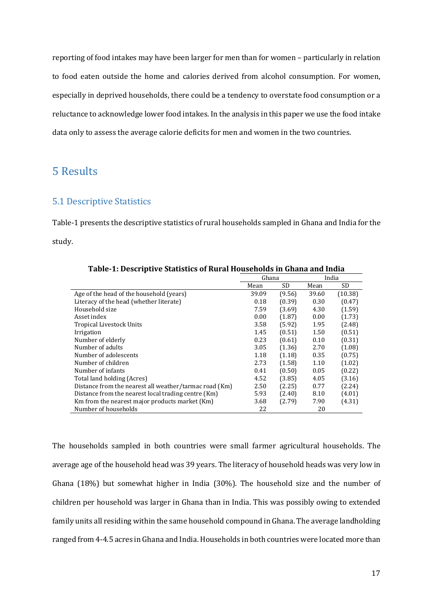reporting of food intakes may have been larger for men than for women – particularly in relation to food eaten outside the home and calories derived from alcohol consumption. For women, especially in deprived households, there could be a tendency to overstate food consumption or a reluctance to acknowledge lower food intakes. In the analysis in this paper we use the food intake data only to assess the average calorie deficits for men and women in the two countries.

# 5 Results

## 5.1 Descriptive Statistics

Table-1 presents the descriptive statistics of rural households sampled in Ghana and India for the study.

| Table-1: Descriptive Statistics of Rural Households in Ghana and India |       |        |       |         |  |  |
|------------------------------------------------------------------------|-------|--------|-------|---------|--|--|
|                                                                        | Ghana |        |       | India   |  |  |
|                                                                        | Mean  | SD     | Mean  | SD      |  |  |
| Age of the head of the household (years)                               | 39.09 | (9.56) | 39.60 | (10.38) |  |  |
| Literacy of the head (whether literate)                                | 0.18  | (0.39) | 0.30  | (0.47)  |  |  |
| Household size                                                         | 7.59  | (3.69) | 4.30  | (1.59)  |  |  |
| Asset index                                                            | 0.00  | (1.87) | 0.00  | (1.73)  |  |  |
| Tropical Livestock Units                                               | 3.58  | (5.92) | 1.95  | (2.48)  |  |  |
| Irrigation                                                             | 1.45  | (0.51) | 1.50  | (0.51)  |  |  |
| Number of elderly                                                      | 0.23  | (0.61) | 0.10  | (0.31)  |  |  |
| Number of adults                                                       | 3.05  | (1.36) | 2.70  | (1.08)  |  |  |
| Number of adolescents                                                  | 1.18  | (1.18) | 0.35  | (0.75)  |  |  |
| Number of children                                                     | 2.73  | (1.58) | 1.10  | (1.02)  |  |  |
| Number of infants                                                      | 0.41  | (0.50) | 0.05  | (0.22)  |  |  |
| Total land holding (Acres)                                             | 4.52  | (3.85) | 4.05  | (3.16)  |  |  |
| Distance from the nearest all weather/tarmac road (Km)                 | 2.50  | (2.25) | 0.77  | (2.24)  |  |  |
| Distance from the nearest local trading centre (Km)                    | 5.93  | (2.40) | 8.10  | (4.01)  |  |  |
| Km from the nearest major products market (Km)                         | 3.68  | (2.79) | 7.90  | (4.31)  |  |  |
| Number of households                                                   | 22    |        | 20    |         |  |  |

The households sampled in both countries were small farmer agricultural households. The average age of the household head was 39 years. The literacy of household heads was very low in Ghana (18%) but somewhat higher in India (30%). The household size and the number of children per household was larger in Ghana than in India. This was possibly owing to extended family units all residing within the same household compound in Ghana. The average landholding ranged from 4-4.5 acres in Ghana and India. Households in both countries were located more than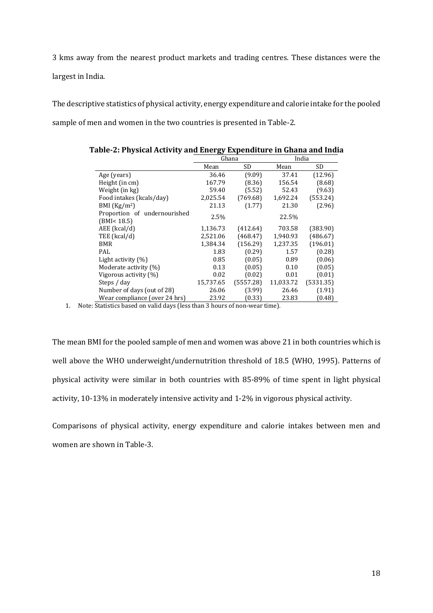3 kms away from the nearest product markets and trading centres. These distances were the largest in India.

The descriptive statistics of physical activity, energy expenditure and calorie intake for the pooled sample of men and women in the two countries is presented in Table-2.

|                                              |           | Ghana     |           | India     |
|----------------------------------------------|-----------|-----------|-----------|-----------|
|                                              | Mean      | SD        | Mean      | SD        |
| Age (years)                                  | 36.46     | (9.09)    | 37.41     | (12.96)   |
| Height (in cm)                               | 167.79    | (8.36)    | 156.54    | (8.68)    |
| Weight (in kg)                               | 59.40     | (5.52)    | 52.43     | (9.63)    |
| Food intakes (kcals/day)                     | 2,025.54  | (769.68)  | 1,692.24  | (553.24)  |
| BMI $(Kg/m2)$                                | 21.13     | (1.77)    | 21.30     | (2.96)    |
| Proportion of undernourished<br>(BMI < 18.5) | 2.5%      |           | 22.5%     |           |
| $AEE$ (kcal/d)                               | 1,136.73  | (412.64)  | 703.58    | (383.90)  |
| TEE (kcal/d)                                 | 2,521.06  | (468.47)  | 1,940.93  | (486.67)  |
| <b>BMR</b>                                   | 1,384.34  | (156.29)  | 1,237.35  | (196.01)  |
| PAL                                          | 1.83      | (0.29)    | 1.57      | (0.28)    |
| Light activity $(\%)$                        | 0.85      | (0.05)    | 0.89      | (0.06)    |
| Moderate activity (%)                        | 0.13      | (0.05)    | 0.10      | (0.05)    |
| Vigorous activity (%)                        | 0.02      | (0.02)    | 0.01      | (0.01)    |
| Steps / day                                  | 15,737.65 | (5557.28) | 11,033.72 | (5331.35) |
| Number of days (out of 28)                   | 26.06     | (3.99)    | 26.46     | (1.91)    |
| Wear compliance (over 24 hrs)                | 23.92     | (0.33)    | 23.83     | (0.48)    |

**Table-2: Physical Activity and Energy Expenditure in Ghana and India**

1. Note: Statistics based on valid days (less than 3 hours of non-wear time).

The mean BMI for the pooled sample of men and women was above 21 in both countries which is well above the WHO underweight/undernutrition threshold of 18.5 (WHO, 1995). Patterns of physical activity were similar in both countries with 85-89% of time spent in light physical activity, 10-13% in moderately intensive activity and 1-2% in vigorous physical activity.

Comparisons of physical activity, energy expenditure and calorie intakes between men and women are shown in Table-3.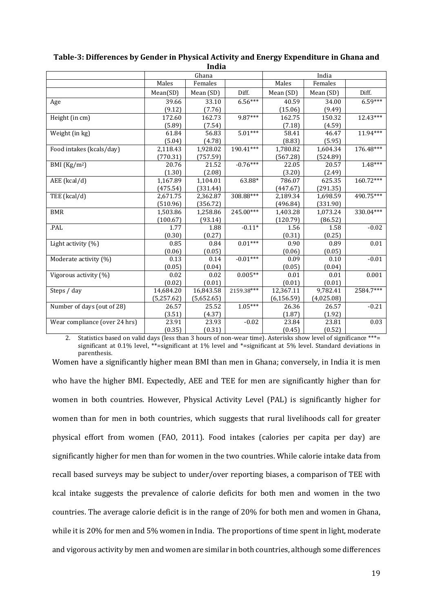|                               | unura                   |                         |             |                          |                        |             |  |  |  |
|-------------------------------|-------------------------|-------------------------|-------------|--------------------------|------------------------|-------------|--|--|--|
|                               |                         | Ghana                   |             |                          | India                  |             |  |  |  |
|                               | Males                   | Females                 |             | Males                    | Females                |             |  |  |  |
|                               | Mean(SD)                | Mean (SD)               | Diff.       | Mean (SD)                | Mean (SD)              | Diff.       |  |  |  |
| Age                           | 39.66<br>(9.12)         | 33.10<br>(7.76)         | $6.56***$   | 40.59<br>(15.06)         | 34.00<br>(9.49)        | $6.59***$   |  |  |  |
| Height (in cm)                | 172.60<br>(5.89)        | 162.73<br>(7.54)        | 9.87***     | 162.75<br>(7.18)         | 150.32<br>(4.59)       | $12.43***$  |  |  |  |
| Weight (in kg)                | 61.84<br>(5.04)         | 56.83<br>(4.78)         | $5.01***$   | 58.41<br>(8.83)          | 46.47<br>(5.95)        | 11.94***    |  |  |  |
| Food intakes (kcals/day)      | 2,118.43<br>(770.31)    | 1,928.02<br>(757.59)    | 190.41***   | 1,780.82<br>(567.28)     | 1,604.34<br>(524.89)   | 176.48***   |  |  |  |
| BMI $(Kg/m2)$                 | 20.76<br>(1.30)         | 21.52<br>(2.08)         | $-0.76***$  | 22.05<br>(3.20)          | 20.57<br>(2.49)        | $1.48***$   |  |  |  |
| $AEE$ (kcal/d)                | 1,167.89<br>(475.54)    | 1,104.01<br>(331.44)    | 63.88*      | 786.07<br>(447.67)       | 625.35<br>(291.35)     | 160.72***   |  |  |  |
| TEE (kcal/d)                  | 2,671.75<br>(510.96)    | 2,362.87<br>(356.72)    | 308.88***   | 2,189.34<br>(496.84)     | 1,698.59<br>(331.90)   | 490.75***   |  |  |  |
| <b>BMR</b>                    | 1,503.86<br>(100.67)    | 1,258.86<br>(93.14)     | $245.00***$ | 1,403.28<br>(120.79)     | 1,073.24<br>(86.52)    | 330.04***   |  |  |  |
| .PAL                          | 1.77<br>(0.30)          | 1.88<br>(0.27)          | $-0.11*$    | 1.56<br>(0.31)           | 1.58<br>(0.25)         | $-0.02$     |  |  |  |
| Light activity $(\%)$         | 0.85<br>(0.06)          | 0.84<br>(0.05)          | $0.01***$   | 0.90<br>(0.06)           | 0.89<br>(0.05)         | 0.01        |  |  |  |
| Moderate activity (%)         | 0.13<br>(0.05)          | 0.14<br>(0.04)          | $-0.01***$  | 0.09<br>(0.05)           | 0.10<br>(0.04)         | $-0.01$     |  |  |  |
| Vigorous activity (%)         | 0.02<br>(0.02)          | 0.02<br>(0.01)          | $0.005**$   | 0.01<br>(0.01)           | 0.01<br>(0.01)         | 0.001       |  |  |  |
| Steps / day                   | 14,684.20<br>(5,257.62) | 16,843.58<br>(5,652.65) | 2159.38***  | 12,367.11<br>(6, 156.59) | 9,782.41<br>(4,025.08) | $2584.7***$ |  |  |  |
| Number of days (out of 28)    | 26.57<br>(3.51)         | 25.52<br>(4.37)         | $1.05***$   | 26.36<br>(1.87)          | 26.57<br>(1.92)        | $-0.21$     |  |  |  |
| Wear compliance (over 24 hrs) | 23.91<br>(0.35)         | 23.93<br>(0.31)         | $-0.02$     | 23.84<br>(0.45)          | 23.81<br>(0.52)        | 0.03        |  |  |  |

#### **Table-3: Differences by Gender in Physical Activity and Energy Expenditure in Ghana and India**

2. Statistics based on valid days (less than 3 hours of non-wear time). Asterisks show level of significance \*\*\*= significant at 0.1% level, \*\*=significant at 1% level and \*=significant at 5% level. Standard deviations in parenthesis.

Women have a significantly higher mean BMI than men in Ghana; conversely, in India it is men who have the higher BMI. Expectedly, AEE and TEE for men are significantly higher than for women in both countries. However, Physical Activity Level (PAL) is significantly higher for women than for men in both countries, which suggests that rural livelihoods call for greater physical effort from women (FAO, 2011). Food intakes (calories per capita per day) are significantly higher for men than for women in the two countries. While calorie intake data from recall based surveys may be subject to under/over reporting biases, a comparison of TEE with kcal intake suggests the prevalence of calorie deficits for both men and women in the two countries. The average calorie deficit is in the range of 20% for both men and women in Ghana, while it is 20% for men and 5% women in India. The proportions of time spent in light, moderate and vigorous activity by men and women are similar in both countries, although some differences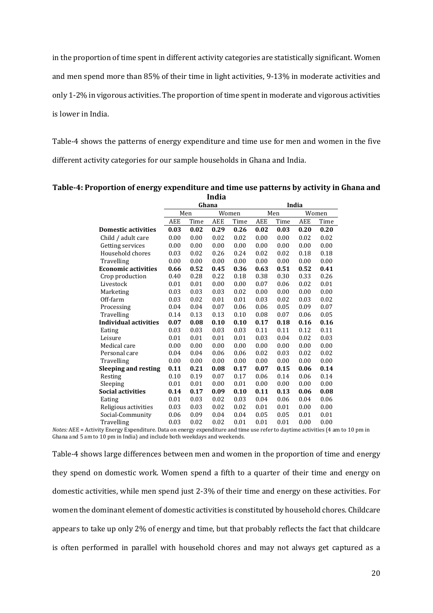in the proportion of time spent in different activity categories are statistically significant. Women and men spend more than 85% of their time in light activities, 9-13% in moderate activities and only 1-2% in vigorous activities. The proportion of time spent in moderate and vigorous activities is lower in India.

Table-4 shows the patterns of energy expenditure and time use for men and women in the five different activity categories for our sample households in Ghana and India.

|                              | Ghana |      |      |       | India      |      |      |       |
|------------------------------|-------|------|------|-------|------------|------|------|-------|
|                              |       | Men  |      | Women |            | Men  |      | Women |
|                              | AEE   | Time | AEE  | Time  | <b>AEE</b> | Time | AEE  | Time  |
| <b>Domestic activities</b>   | 0.03  | 0.02 | 0.29 | 0.26  | 0.02       | 0.03 | 0.20 | 0.20  |
| Child / adult care           | 0.00  | 0.00 | 0.02 | 0.02  | 0.00       | 0.00 | 0.02 | 0.02  |
| Getting services             | 0.00  | 0.00 | 0.00 | 0.00  | 0.00       | 0.00 | 0.00 | 0.00  |
| Household chores             | 0.03  | 0.02 | 0.26 | 0.24  | 0.02       | 0.02 | 0.18 | 0.18  |
| Travelling                   | 0.00  | 0.00 | 0.00 | 0.00  | 0.00       | 0.00 | 0.00 | 0.00  |
| <b>Economic activities</b>   | 0.66  | 0.52 | 0.45 | 0.36  | 0.63       | 0.51 | 0.52 | 0.41  |
| Crop production              | 0.40  | 0.28 | 0.22 | 0.18  | 0.38       | 0.30 | 0.33 | 0.26  |
| Livestock                    | 0.01  | 0.01 | 0.00 | 0.00  | 0.07       | 0.06 | 0.02 | 0.01  |
| Marketing                    | 0.03  | 0.03 | 0.03 | 0.02  | 0.00       | 0.00 | 0.00 | 0.00  |
| Off-farm                     | 0.03  | 0.02 | 0.01 | 0.01  | 0.03       | 0.02 | 0.03 | 0.02  |
| Processing                   | 0.04  | 0.04 | 0.07 | 0.06  | 0.06       | 0.05 | 0.09 | 0.07  |
| Travelling                   | 0.14  | 0.13 | 0.13 | 0.10  | 0.08       | 0.07 | 0.06 | 0.05  |
| <b>Individual activities</b> | 0.07  | 0.08 | 0.10 | 0.10  | 0.17       | 0.18 | 0.16 | 0.16  |
| Eating                       | 0.03  | 0.03 | 0.03 | 0.03  | 0.11       | 0.11 | 0.12 | 0.11  |
| Leisure                      | 0.01  | 0.01 | 0.01 | 0.01  | 0.03       | 0.04 | 0.02 | 0.03  |
| Medical care                 | 0.00  | 0.00 | 0.00 | 0.00  | 0.00       | 0.00 | 0.00 | 0.00  |
| Personal care                | 0.04  | 0.04 | 0.06 | 0.06  | 0.02       | 0.03 | 0.02 | 0.02  |
| Travelling                   | 0.00  | 0.00 | 0.00 | 0.00  | 0.00       | 0.00 | 0.00 | 0.00  |
| <b>Sleeping and resting</b>  | 0.11  | 0.21 | 0.08 | 0.17  | 0.07       | 0.15 | 0.06 | 0.14  |
| Resting                      | 0.10  | 0.19 | 0.07 | 0.17  | 0.06       | 0.14 | 0.06 | 0.14  |
| Sleeping                     | 0.01  | 0.01 | 0.00 | 0.01  | 0.00       | 0.00 | 0.00 | 0.00  |
| <b>Social activities</b>     | 0.14  | 0.17 | 0.09 | 0.10  | 0.11       | 0.13 | 0.06 | 0.08  |
| Eating                       | 0.01  | 0.03 | 0.02 | 0.03  | 0.04       | 0.06 | 0.04 | 0.06  |
| Religious activities         | 0.03  | 0.03 | 0.02 | 0.02  | 0.01       | 0.01 | 0.00 | 0.00  |
| Social-Community             | 0.06  | 0.09 | 0.04 | 0.04  | 0.05       | 0.05 | 0.01 | 0.01  |
| Travelling                   | 0.03  | 0.02 | 0.02 | 0.01  | 0.01       | 0.01 | 0.00 | 0.00  |

**Table-4: Proportion of energy expenditure and time use patterns by activity in Ghana and India**

*Notes:* AEE = Activity Energy Expenditure. Data on energy expenditure and time use refer to daytime activities (4 am to 10 pm in Ghana and 5 am to 10 pm in India) and include both weekdays and weekends.

Table-4 shows large differences between men and women in the proportion of time and energy they spend on domestic work. Women spend a fifth to a quarter of their time and energy on domestic activities, while men spend just 2-3% of their time and energy on these activities. For women the dominant element of domestic activities is constituted by household chores. Childcare appears to take up only 2% of energy and time, but that probably reflects the fact that childcare is often performed in parallel with household chores and may not always get captured as a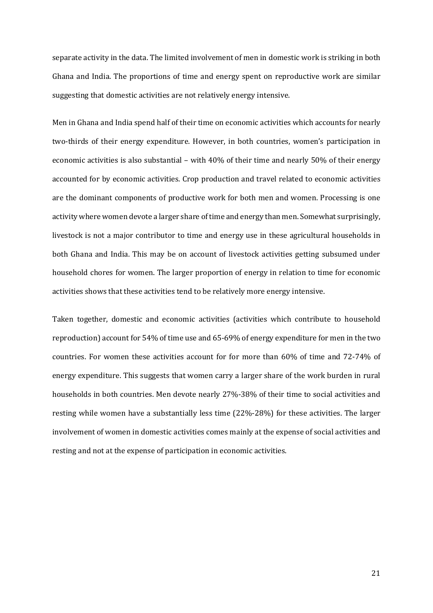separate activity in the data. The limited involvement of men in domestic work is striking in both Ghana and India. The proportions of time and energy spent on reproductive work are similar suggesting that domestic activities are not relatively energy intensive.

Men in Ghana and India spend half of their time on economic activities which accounts for nearly two-thirds of their energy expenditure. However, in both countries, women's participation in economic activities is also substantial – with 40% of their time and nearly 50% of their energy accounted for by economic activities. Crop production and travel related to economic activities are the dominant components of productive work for both men and women. Processing is one activity where women devote a larger share of time and energy than men. Somewhat surprisingly, livestock is not a major contributor to time and energy use in these agricultural households in both Ghana and India. This may be on account of livestock activities getting subsumed under household chores for women. The larger proportion of energy in relation to time for economic activities shows that these activities tend to be relatively more energy intensive.

Taken together, domestic and economic activities (activities which contribute to household reproduction) account for 54% of time use and 65-69% of energy expenditure for men in the two countries. For women these activities account for for more than 60% of time and 72-74% of energy expenditure. This suggests that women carry a larger share of the work burden in rural households in both countries. Men devote nearly 27%-38% of their time to social activities and resting while women have a substantially less time (22%-28%) for these activities. The larger involvement of women in domestic activities comes mainly at the expense of social activities and resting and not at the expense of participation in economic activities.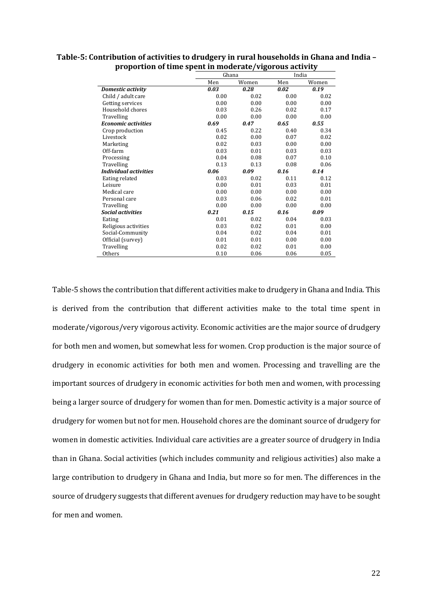|                            | Ghana | o     | India | ◡     |
|----------------------------|-------|-------|-------|-------|
|                            | Men   | Women | Men   | Women |
| <b>Domestic activity</b>   | 0.03  | 0.28  | 0.02  | 0.19  |
| Child / adult care         | 0.00  | 0.02  | 0.00  | 0.02  |
| Getting services           | 0.00  | 0.00  | 0.00  | 0.00  |
| Household chores           | 0.03  | 0.26  | 0.02  | 0.17  |
| Travelling                 | 0.00  | 0.00  | 0.00  | 0.00  |
| <b>Economic activities</b> | 0.69  | 0.47  | 0.65  | 0.55  |
| Crop production            | 0.45  | 0.22  | 0.40  | 0.34  |
| Livestock                  | 0.02  | 0.00  | 0.07  | 0.02  |
| Marketing                  | 0.02  | 0.03  | 0.00  | 0.00  |
| Off-farm                   | 0.03  | 0.01  | 0.03  | 0.03  |
| Processing                 | 0.04  | 0.08  | 0.07  | 0.10  |
| Travelling                 | 0.13  | 0.13  | 0.08  | 0.06  |
| Individual activities      | 0.06  | 0.09  | 0.16  | 0.14  |
| Eating related             | 0.03  | 0.02  | 0.11  | 0.12  |
| Leisure                    | 0.00  | 0.01  | 0.03  | 0.01  |
| Medical care               | 0.00  | 0.00  | 0.00  | 0.00  |
| Personal care              | 0.03  | 0.06  | 0.02  | 0.01  |
| Travelling                 | 0.00  | 0.00  | 0.00  | 0.00  |
| <b>Social activities</b>   | 0.21  | 0.15  | 0.16  | 0.09  |
| Eating                     | 0.01  | 0.02  | 0.04  | 0.03  |
| Religious activities       | 0.03  | 0.02  | 0.01  | 0.00  |
| Social-Community           | 0.04  | 0.02  | 0.04  | 0.01  |
| Official (survey)          | 0.01  | 0.01  | 0.00  | 0.00  |
| Travelling                 | 0.02  | 0.02  | 0.01  | 0.00  |
| <b>Others</b>              | 0.10  | 0.06  | 0.06  | 0.05  |

### **Table-5: Contribution of activities to drudgery in rural households in Ghana and India – proportion of time spent in moderate/vigorous activity**

Table-5 shows the contribution that different activities make to drudgery in Ghana and India. This is derived from the contribution that different activities make to the total time spent in moderate/vigorous/very vigorous activity. Economic activities are the major source of drudgery for both men and women, but somewhat less for women. Crop production is the major source of drudgery in economic activities for both men and women. Processing and travelling are the important sources of drudgery in economic activities for both men and women, with processing being a larger source of drudgery for women than for men. Domestic activity is a major source of drudgery for women but not for men. Household chores are the dominant source of drudgery for women in domestic activities. Individual care activities are a greater source of drudgery in India than in Ghana. Social activities (which includes community and religious activities) also make a large contribution to drudgery in Ghana and India, but more so for men. The differences in the source of drudgery suggests that different avenues for drudgery reduction may have to be sought for men and women.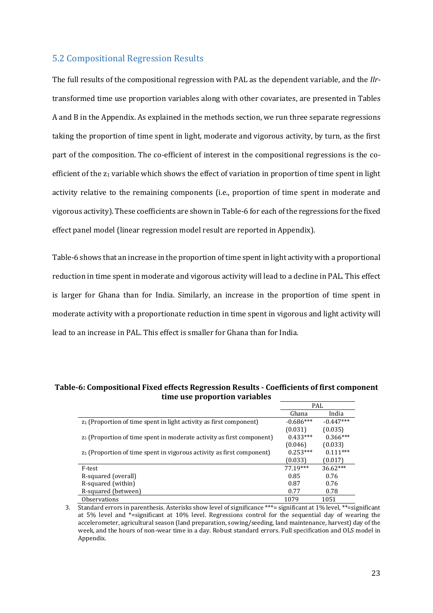## 5.2 Compositional Regression Results

The full results of the compositional regression with PAL as the dependent variable, and the *Ilr*transformed time use proportion variables along with other covariates, are presented in Tables A and B in the Appendix. As explained in the methods section, we run three separate regressions taking the proportion of time spent in light, moderate and vigorous activity, by turn, as the first part of the composition. The co-efficient of interest in the compositional regressions is the coefficient of the  $z_1$  variable which shows the effect of variation in proportion of time spent in light activity relative to the remaining components (i.e., proportion of time spent in moderate and vigorous activity). These coefficients are shown in Table-6 for each of the regressions for the fixed effect panel model (linear regression model result are reported in Appendix).

Table-6 shows that an increase in the proportion of time spent in light activity with a proportional reduction in time spent in moderate and vigorous activity will lead to a decline in PAL. This effect is larger for Ghana than for India. Similarly, an increase in the proportion of time spent in moderate activity with a proportionate reduction in time spent in vigorous and light activity will lead to an increase in PAL. This effect is smaller for Ghana than for India.

| Table-6: Compositional Fixed effects Regression Results - Coefficients of first component |  |
|-------------------------------------------------------------------------------------------|--|
| time use proportion variables                                                             |  |

|                                                                                   |             | PAL         |
|-----------------------------------------------------------------------------------|-------------|-------------|
|                                                                                   | Ghana       | India       |
| $z_1$ (Proportion of time spent in light activity as first component)             | $-0.686***$ | $-0.447***$ |
|                                                                                   | (0.031)     | (0.035)     |
| z <sub>1</sub> (Proportion of time spent in moderate activity as first component) | $0.433***$  | $0.366***$  |
|                                                                                   | (0.046)     | (0.033)     |
| z <sub>1</sub> (Proportion of time spent in vigorous activity as first component) | $0.253***$  | $0.111***$  |
|                                                                                   | (0.033)     | (0.017)     |
| F-test                                                                            | 77.19***    | $36.62***$  |
| R-squared (overall)                                                               | 0.85        | 0.76        |
| R-squared (within)                                                                | 0.87        | 0.76        |
| R-squared (between)                                                               | 0.77        | 0.78        |
| <b>Observations</b>                                                               | 1079        | 1051        |

3. Standard errors in parenthesis. Asterisks show level of significance \*\*\*= significant at 1% level, \*\*=significant at 5% level and \*=significant at 10% level. Regressions control for the sequential day of wearing the accelerometer, agricultural season (land preparation, sowing/seeding, land maintenance, harvest) day of the week, and the hours of non-wear time in a day. Robust standard errors. Full specification and OLS model in Appendix.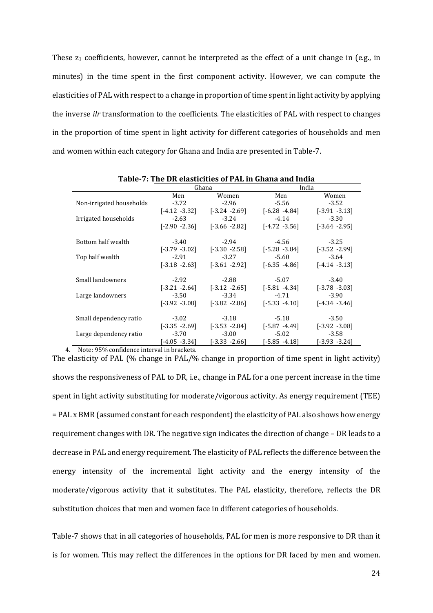These  $z_1$  coefficients, however, cannot be interpreted as the effect of a unit change in (e.g., in minutes) in the time spent in the first component activity. However, we can compute the elasticities of PAL with respect to a change in proportion of time spent in light activity by applying the inverse *ilr* transformation to the coefficients. The elasticities of PAL with respect to changes in the proportion of time spent in light activity for different categories of households and men and women within each category for Ghana and India are presented in Table-7.

| Table 7. The DR clasultures of TAL III unafia and mula |                  |                                   |                                                                 |                  |  |  |  |  |
|--------------------------------------------------------|------------------|-----------------------------------|-----------------------------------------------------------------|------------------|--|--|--|--|
|                                                        | Ghana            |                                   | India                                                           |                  |  |  |  |  |
|                                                        | Men              | Women                             | Men                                                             | Women            |  |  |  |  |
| Non-irrigated households                               | $-3.72$          | -2.96                             | -5.56                                                           | $-3.52$          |  |  |  |  |
|                                                        |                  |                                   | $[-4.12 -3.32]$ $[-3.24 -2.69]$ $[-6.28 -4.84]$ $[-3.91 -3.13]$ |                  |  |  |  |  |
| Irrigated households                                   |                  | $-2.63$ $-3.24$                   | $-4.14$                                                         | $-3.30$          |  |  |  |  |
|                                                        |                  |                                   | $[-2.90 -2.36]$ $[-3.66 -2.82]$ $[-4.72 -3.56]$                 | $[-3.64 -2.95]$  |  |  |  |  |
| Bottom half wealth                                     | $-3.40$          | $-2.94$                           | -4.56                                                           | $-3.25$          |  |  |  |  |
|                                                        | $[-3.79 - 3.02]$ | $[-3.30 -2.58]$                   | $[-5.28 - 3.84]$                                                | $[-3.52 - 2.99]$ |  |  |  |  |
| Top half wealth                                        | $-2.91$          | $-3.27$                           | $-5.60$                                                         | $-3.64$          |  |  |  |  |
|                                                        | $[-3.18 - 2.63]$ | $[-3.61 - 2.92]$                  | $[-6.35 - 4.86]$                                                | $[-4.14 - 3.13]$ |  |  |  |  |
| Small landowners                                       | $-2.92$          | -2.88                             | -5.07                                                           | $-3.40$          |  |  |  |  |
|                                                        |                  |                                   | $[-3.21 - 2.64]$ $[-3.12 - 2.65]$ $[-5.81 - 4.34]$              | $[-3.78 - 3.03]$ |  |  |  |  |
| Large landowners                                       | $-3.50$          | $-3.34$                           | $-4.71$                                                         | $-3.90$          |  |  |  |  |
|                                                        | [-3.92 -3.08]    | $[-3.82 -2.86]$                   | $[-5.33 -4.10]$                                                 | $[-4.34 - 3.46]$ |  |  |  |  |
| Small dependency ratio                                 | $-3.02$          | $-3.18$                           | -5.18                                                           | $-3.50$          |  |  |  |  |
|                                                        |                  | $[-3.35 - 2.69]$ $[-3.53 - 2.84]$ | $[-5.87 -4.49]$                                                 | $[-3.92 - 3.08]$ |  |  |  |  |
| Large dependency ratio                                 | $-3.70$          | $-3.00$                           | $-5.02$                                                         | -3.58            |  |  |  |  |
|                                                        | $[-4.05 -3.34]$  | $[-3.33 - 2.66]$                  | $[-5.85 -4.18]$                                                 | $[-3.93 - 3.24]$ |  |  |  |  |

**Table-7: The DR elasticities of PAL in Ghana and India**

4. Note: 95% confidence interval in brackets.

The elasticity of PAL (% change in PAL/% change in proportion of time spent in light activity) shows the responsiveness of PAL to DR, i.e., change in PAL for a one percent increase in the time spent in light activity substituting for moderate/vigorous activity. As energy requirement (TEE) = PAL x BMR (assumed constant for each respondent) the elasticity of PAL also shows how energy requirement changes with DR. The negative sign indicates the direction of change – DR leads to a decrease in PAL and energy requirement. The elasticity of PAL reflects the difference between the energy intensity of the incremental light activity and the energy intensity of the moderate/vigorous activity that it substitutes. The PAL elasticity, therefore, reflects the DR substitution choices that men and women face in different categories of households.

Table-7 shows that in all categories of households, PAL for men is more responsive to DR than it is for women. This may reflect the differences in the options for DR faced by men and women.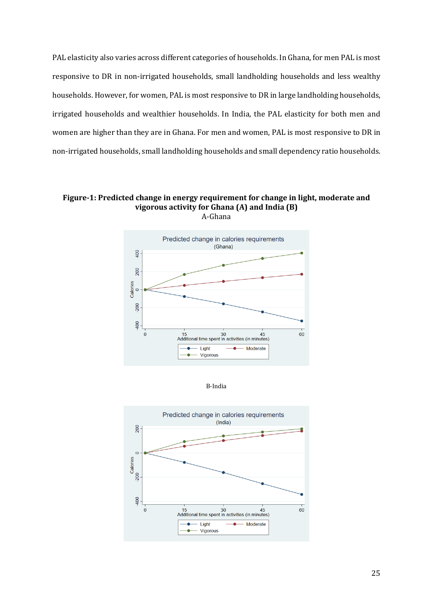PAL elasticity also varies across different categories of households. In Ghana, for men PAL is most responsive to DR in non-irrigated households, small landholding households and less wealthy households. However, for women, PAL is most responsive to DR in large landholding households, irrigated households and wealthier households. In India, the PAL elasticity for both men and women are higher than they are in Ghana. For men and women, PAL is most responsive to DR in non-irrigated households, small landholding households and small dependency ratio households.

#### **Figure-1: Predicted change in energy requirement for change in light, moderate and vigorous activity for Ghana (A) and India (B)** A-Ghana



B-India

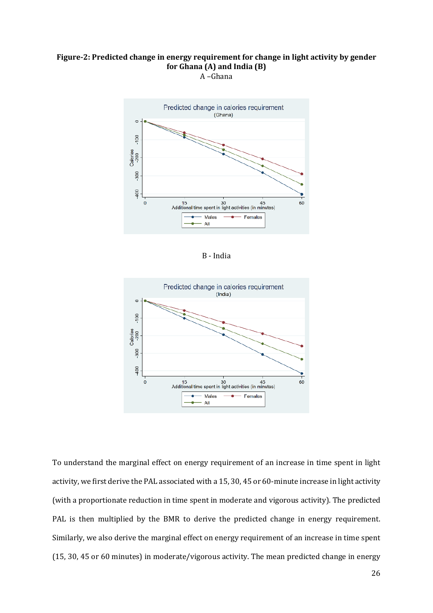#### **Figure-2: Predicted change in energy requirement for change in light activity by gender for Ghana (A) and India (B)** A –Ghana



B - India



To understand the marginal effect on energy requirement of an increase in time spent in light activity, we first derive the PAL associated with a 15, 30, 45 or 60-minute increase in light activity (with a proportionate reduction in time spent in moderate and vigorous activity). The predicted PAL is then multiplied by the BMR to derive the predicted change in energy requirement. Similarly, we also derive the marginal effect on energy requirement of an increase in time spent (15, 30, 45 or 60 minutes) in moderate/vigorous activity. The mean predicted change in energy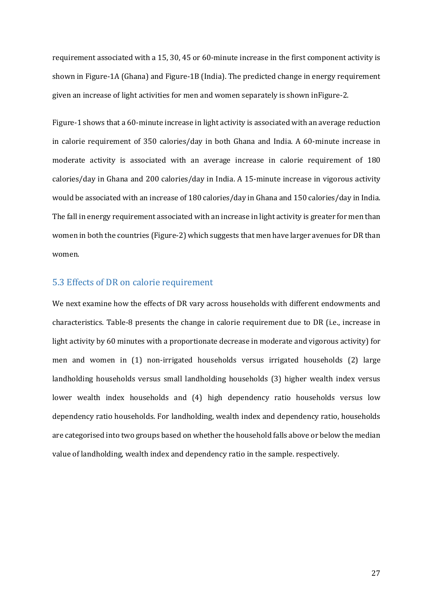requirement associated with a 15, 30, 45 or 60-minute increase in the first component activity is shown in Figure-1A (Ghana) and Figure-1B (India). The predicted change in energy requirement given an increase of light activities for men and women separately is shown inFigure-2.

Figure-1 shows that a 60-minute increase in light activity is associated with an average reduction in calorie requirement of 350 calories/day in both Ghana and India. A 60-minute increase in moderate activity is associated with an average increase in calorie requirement of 180 calories/day in Ghana and 200 calories/day in India. A 15-minute increase in vigorous activity would be associated with an increase of 180 calories/day in Ghana and 150 calories/day in India. The fall in energy requirement associated with an increase in light activity is greater for men than women in both the countries (Figure-2) which suggests that men have larger avenues for DR than women.

## 5.3 Effects of DR on calorie requirement

We next examine how the effects of DR vary across households with different endowments and characteristics. Table-8 presents the change in calorie requirement due to DR (i.e., increase in light activity by 60 minutes with a proportionate decrease in moderate and vigorous activity) for men and women in (1) non-irrigated households versus irrigated households (2) large landholding households versus small landholding households (3) higher wealth index versus lower wealth index households and (4) high dependency ratio households versus low dependency ratio households. For landholding, wealth index and dependency ratio, households are categorised into two groups based on whether the household falls above or below the median value of landholding, wealth index and dependency ratio in the sample. respectively.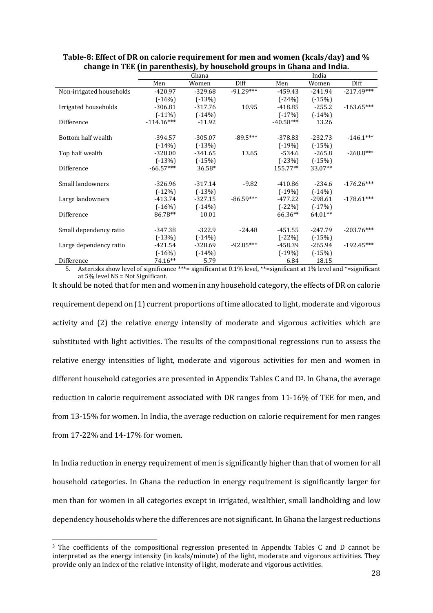|                          |              | Ghana     |             |             | India     |              |  |
|--------------------------|--------------|-----------|-------------|-------------|-----------|--------------|--|
|                          | Men          | Women     | Diff        | Men         | Women     | Diff         |  |
| Non-irrigated households | $-420.97$    | $-329.68$ | $-91.29***$ | $-459.43$   | $-241.94$ | $-217.49***$ |  |
|                          | $(-16%)$     | $(-13%)$  |             | $(-24%)$    | $(-15%)$  |              |  |
| Irrigated households     | $-306.81$    | $-317.76$ | 10.95       | $-418.85$   | $-255.2$  | $-163.65***$ |  |
|                          | $(-11\%)$    | $(-14%)$  |             | $(-17%)$    | $(-14%)$  |              |  |
| Difference               | $-114.16***$ | $-11.92$  |             | $-40.58***$ | 13.26     |              |  |
| Bottom half wealth       | $-394.57$    | $-305.07$ | $-89.5***$  | -378.83     | $-232.73$ | $-146.1***$  |  |
|                          | $(-14%)$     | $(-13%)$  |             | $(-19%)$    | $(-15%)$  |              |  |
| Top half wealth          | $-328.00$    | $-341.65$ | 13.65       | -534.6      | $-265.8$  | $-268.8***$  |  |
|                          | $(-13%)$     | $(-15%)$  |             | $(-23%)$    | $(-15%)$  |              |  |
| Difference               | $-66.57***$  | 36.58*    |             | 155.77**    | 33.07**   |              |  |
| Small landowners         | $-326.96$    | $-317.14$ | $-9.82$     | $-410.86$   | $-234.6$  | $-176.26***$ |  |
|                          | $(-12%)$     | $(-13%)$  |             | $(-19%)$    | $(-14%)$  |              |  |
| Large landowners         | $-413.74$    | $-327.15$ | $-86.59***$ | $-477.22$   | $-298.61$ | $-178.61***$ |  |
|                          | $(-16%)$     | $(-14%)$  |             | $(-22%)$    | $(-17%)$  |              |  |
| Difference               | 86.78**      | 10.01     |             | 66.36**     | 64.01**   |              |  |
| Small dependency ratio   | -347.38      | $-322.9$  | $-24.48$    | $-451.55$   | $-247.79$ | $-203.76***$ |  |
|                          | $(-13%)$     | $(-14%)$  |             | $(-22%)$    | $(-15%)$  |              |  |
| Large dependency ratio   | $-421.54$    | $-328.69$ | $-92.85***$ | $-458.39$   | $-265.94$ | $-192.45***$ |  |
|                          | $(-16%)$     | $(-14%)$  |             | $(-19%)$    | $(-15%)$  |              |  |
| Difference               | 74.16**      | 5.79      |             | 6.84        | 18.15     |              |  |

## **Table-8: Effect of DR on calorie requirement for men and women (kcals/day) and % change in TEE (in parenthesis), by household groups in Ghana and India.**

5. Asterisks show level of significance \*\*\*= significant at 0.1% level, \*\*=significant at 1% level and \*=significant at 5% level NS = Not Significant.

It should be noted that for men and women in any household category, the effects of DR on calorie requirement depend on (1) current proportions of time allocated to light, moderate and vigorous activity and (2) the relative energy intensity of moderate and vigorous activities which are substituted with light activities. The results of the compositional regressions run to assess the relative energy intensities of light, moderate and vigorous activities for men and women in different household categories are presented in Appendix Tables C and D<sup>3</sup>. In Ghana, the average reduction in calorie requirement associated with DR ranges from 11-16% of TEE for men, and from 13-15% for women. In India, the average reduction on calorie requirement for men ranges from 17-22% and 14-17% for women.

In India reduction in energy requirement of men is significantly higher than that of women for all household categories. In Ghana the reduction in energy requirement is significantly larger for men than for women in all categories except in irrigated, wealthier, small landholding and low dependency households where the differences are not significant. In Ghana the largest reductions

<sup>3</sup> The coefficients of the compositional regression presented in Appendix Tables C and D cannot be interpreted as the energy intensity (in kcals/minute) of the light, moderate and vigorous activities. They provide only an index of the relative intensity of light, moderate and vigorous activities.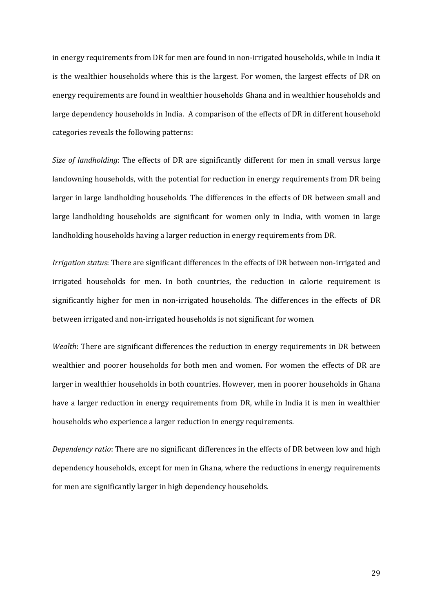in energy requirements from DR for men are found in non-irrigated households, while in India it is the wealthier households where this is the largest. For women, the largest effects of DR on energy requirements are found in wealthier households Ghana and in wealthier households and large dependency households in India. A comparison of the effects of DR in different household categories reveals the following patterns:

*Size of landholding*: The effects of DR are significantly different for men in small versus large landowning households, with the potential for reduction in energy requirements from DR being larger in large landholding households. The differences in the effects of DR between small and large landholding households are significant for women only in India, with women in large landholding households having a larger reduction in energy requirements from DR.

*Irrigation status*: There are significant differences in the effects of DR between non-irrigated and irrigated households for men. In both countries, the reduction in calorie requirement is significantly higher for men in non-irrigated households. The differences in the effects of DR between irrigated and non-irrigated households is not significant for women.

*Wealth*: There are significant differences the reduction in energy requirements in DR between wealthier and poorer households for both men and women. For women the effects of DR are larger in wealthier households in both countries. However, men in poorer households in Ghana have a larger reduction in energy requirements from DR, while in India it is men in wealthier households who experience a larger reduction in energy requirements.

*Dependency ratio*: There are no significant differences in the effects of DR between low and high dependency households, except for men in Ghana, where the reductions in energy requirements for men are significantly larger in high dependency households.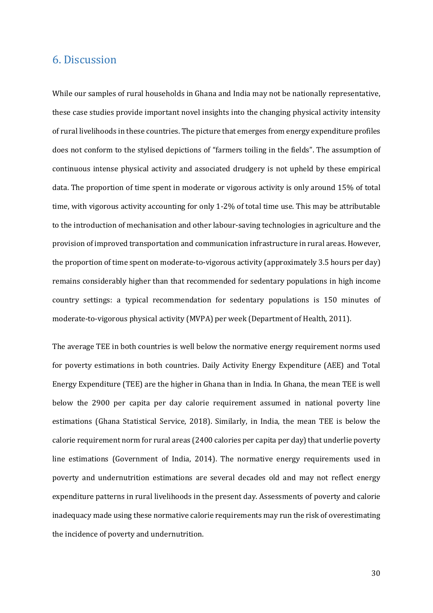## 6. Discussion

While our samples of rural households in Ghana and India may not be nationally representative, these case studies provide important novel insights into the changing physical activity intensity of rural livelihoods in these countries. The picture that emerges from energy expenditure profiles does not conform to the stylised depictions of "farmers toiling in the fields". The assumption of continuous intense physical activity and associated drudgery is not upheld by these empirical data. The proportion of time spent in moderate or vigorous activity is only around 15% of total time, with vigorous activity accounting for only 1-2% of total time use. This may be attributable to the introduction of mechanisation and other labour-saving technologies in agriculture and the provision of improved transportation and communication infrastructure in rural areas. However, the proportion of time spent on moderate-to-vigorous activity (approximately 3.5 hours per day) remains considerably higher than that recommended for sedentary populations in high income country settings: a typical recommendation for sedentary populations is 150 minutes of moderate-to-vigorous physical activity (MVPA) per week (Department of Health, 2011).

The average TEE in both countries is well below the normative energy requirement norms used for poverty estimations in both countries. Daily Activity Energy Expenditure (AEE) and Total Energy Expenditure (TEE) are the higher in Ghana than in India. In Ghana, the mean TEE is well below the 2900 per capita per day calorie requirement assumed in national poverty line estimations (Ghana Statistical Service, 2018). Similarly, in India, the mean TEE is below the calorie requirement norm for rural areas (2400 calories per capita per day) that underlie poverty line estimations (Government of India, 2014). The normative energy requirements used in poverty and undernutrition estimations are several decades old and may not reflect energy expenditure patterns in rural livelihoods in the present day. Assessments of poverty and calorie inadequacy made using these normative calorie requirements may run the risk of overestimating the incidence of poverty and undernutrition.

30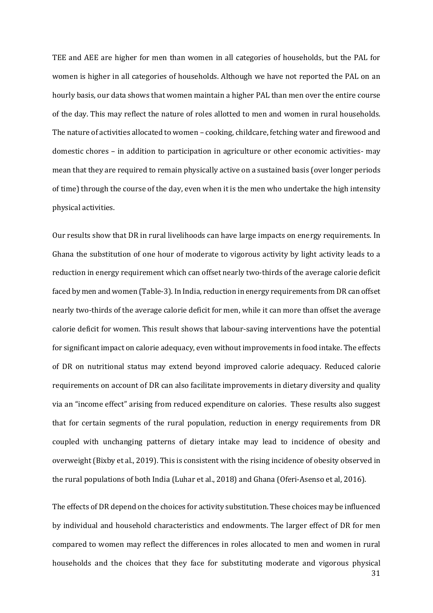TEE and AEE are higher for men than women in all categories of households, but the PAL for women is higher in all categories of households. Although we have not reported the PAL on an hourly basis, our data shows that women maintain a higher PAL than men over the entire course of the day. This may reflect the nature of roles allotted to men and women in rural households. The nature of activities allocated to women – cooking, childcare, fetching water and firewood and domestic chores – in addition to participation in agriculture or other economic activities- may mean that they are required to remain physically active on a sustained basis (over longer periods of time) through the course of the day, even when it is the men who undertake the high intensity physical activities.

Our results show that DR in rural livelihoods can have large impacts on energy requirements. In Ghana the substitution of one hour of moderate to vigorous activity by light activity leads to a reduction in energy requirement which can offset nearly two-thirds of the average calorie deficit faced by men and women (Table-3). In India, reduction in energy requirements from DR can offset nearly two-thirds of the average calorie deficit for men, while it can more than offset the average calorie deficit for women. This result shows that labour-saving interventions have the potential for significant impact on calorie adequacy, even without improvements in food intake. The effects of DR on nutritional status may extend beyond improved calorie adequacy. Reduced calorie requirements on account of DR can also facilitate improvements in dietary diversity and quality via an "income effect" arising from reduced expenditure on calories. These results also suggest that for certain segments of the rural population, reduction in energy requirements from DR coupled with unchanging patterns of dietary intake may lead to incidence of obesity and overweight (Bixby et al., 2019). This is consistent with the rising incidence of obesity observed in the rural populations of both India (Luhar et al., 2018) and Ghana (Oferi-Asenso et al, 2016).

31 The effects of DR depend on the choices for activity substitution. These choices may be influenced by individual and household characteristics and endowments. The larger effect of DR for men compared to women may reflect the differences in roles allocated to men and women in rural households and the choices that they face for substituting moderate and vigorous physical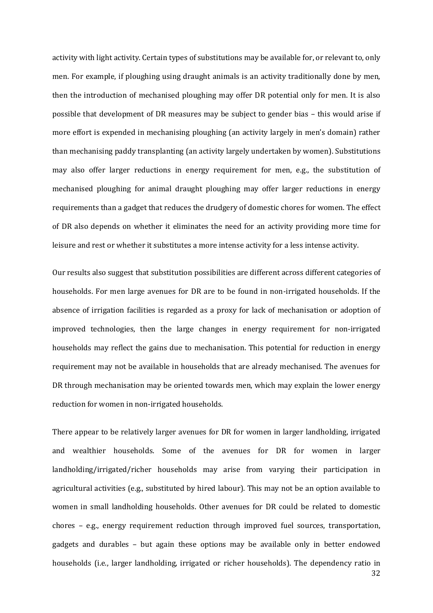activity with light activity. Certain types of substitutions may be available for, or relevant to, only men. For example, if ploughing using draught animals is an activity traditionally done by men, then the introduction of mechanised ploughing may offer DR potential only for men. It is also possible that development of DR measures may be subject to gender bias – this would arise if more effort is expended in mechanising ploughing (an activity largely in men's domain) rather than mechanising paddy transplanting (an activity largely undertaken by women). Substitutions may also offer larger reductions in energy requirement for men, e.g., the substitution of mechanised ploughing for animal draught ploughing may offer larger reductions in energy requirements than a gadget that reduces the drudgery of domestic chores for women. The effect of DR also depends on whether it eliminates the need for an activity providing more time for leisure and rest or whether it substitutes a more intense activity for a less intense activity.

Our results also suggest that substitution possibilities are different across different categories of households. For men large avenues for DR are to be found in non-irrigated households. If the absence of irrigation facilities is regarded as a proxy for lack of mechanisation or adoption of improved technologies, then the large changes in energy requirement for non-irrigated households may reflect the gains due to mechanisation. This potential for reduction in energy requirement may not be available in households that are already mechanised. The avenues for DR through mechanisation may be oriented towards men, which may explain the lower energy reduction for women in non-irrigated households.

There appear to be relatively larger avenues for DR for women in larger landholding, irrigated and wealthier households. Some of the avenues for DR for women in larger landholding/irrigated/richer households may arise from varying their participation in agricultural activities (e.g., substituted by hired labour). This may not be an option available to women in small landholding households. Other avenues for DR could be related to domestic chores – e.g., energy requirement reduction through improved fuel sources, transportation, gadgets and durables – but again these options may be available only in better endowed households (i.e., larger landholding, irrigated or richer households). The dependency ratio in

32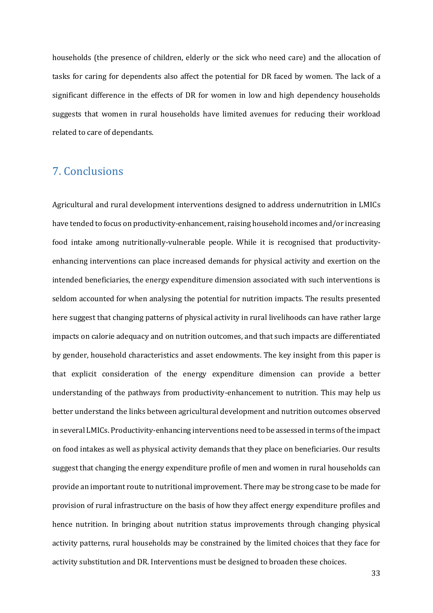households (the presence of children, elderly or the sick who need care) and the allocation of tasks for caring for dependents also affect the potential for DR faced by women. The lack of a significant difference in the effects of DR for women in low and high dependency households suggests that women in rural households have limited avenues for reducing their workload related to care of dependants.

# 7. Conclusions

Agricultural and rural development interventions designed to address undernutrition in LMICs have tended to focus on productivity-enhancement, raising household incomes and/or increasing food intake among nutritionally-vulnerable people. While it is recognised that productivityenhancing interventions can place increased demands for physical activity and exertion on the intended beneficiaries, the energy expenditure dimension associated with such interventions is seldom accounted for when analysing the potential for nutrition impacts. The results presented here suggest that changing patterns of physical activity in rural livelihoods can have rather large impacts on calorie adequacy and on nutrition outcomes, and that such impacts are differentiated by gender, household characteristics and asset endowments. The key insight from this paper is that explicit consideration of the energy expenditure dimension can provide a better understanding of the pathways from productivity-enhancement to nutrition. This may help us better understand the links between agricultural development and nutrition outcomes observed in several LMICs. Productivity-enhancing interventions need to be assessed in terms of the impact on food intakes as well as physical activity demands that they place on beneficiaries. Our results suggest that changing the energy expenditure profile of men and women in rural households can provide an important route to nutritional improvement. There may be strong case to be made for provision of rural infrastructure on the basis of how they affect energy expenditure profiles and hence nutrition. In bringing about nutrition status improvements through changing physical activity patterns, rural households may be constrained by the limited choices that they face for activity substitution and DR. Interventions must be designed to broaden these choices.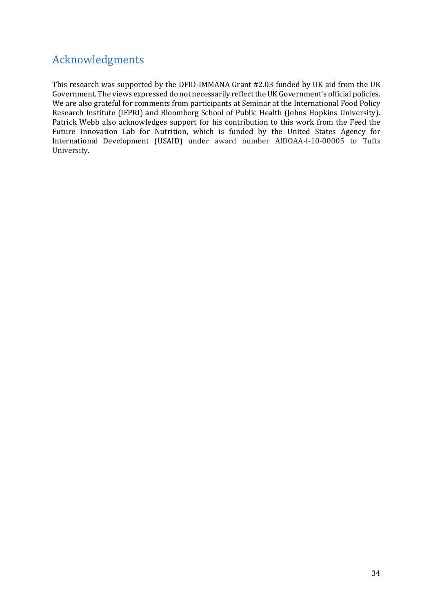# Acknowledgments

This research was supported by the DFID-IMMANA Grant #2.03 funded by UK aid from the UK Government. The views expressed do not necessarily reflect the UK Government's official policies. We are also grateful for comments from participants at Seminar at the International Food Policy Research Institute (IFPRI) and Bloomberg School of Public Health (Johns Hopkins University). Patrick Webb also acknowledges support for his contribution to this work from the Feed the Future Innovation Lab for Nutrition, which is funded by the United States Agency for International Development (USAID) under award number AIDOAA-l-10-00005 to Tufts University.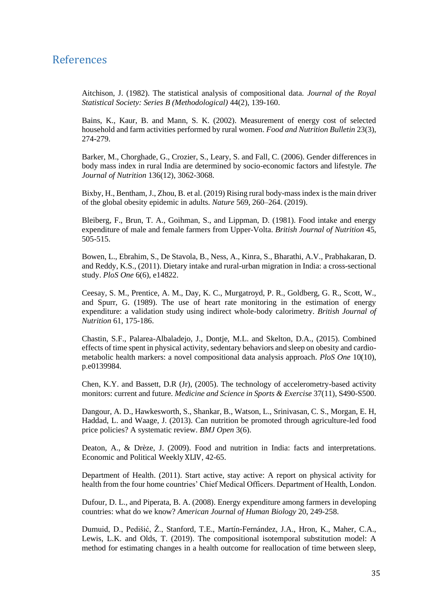## References

Aitchison, J. (1982). The statistical analysis of compositional data. *Journal of the Royal Statistical Society: Series B (Methodological)* 44(2), 139-160.

Bains, K., Kaur, B. and Mann, S. K. (2002). Measurement of energy cost of selected household and farm activities performed by rural women. *Food and Nutrition Bulletin* 23(3), 274-279.

Barker, M., Chorghade, G., Crozier, S., Leary, S. and Fall, C. (2006). Gender differences in body mass index in rural India are determined by socio-economic factors and lifestyle. *The Journal of Nutrition* 136(12), 3062-3068.

Bixby, H., Bentham, J., Zhou, B. et al. (2019) Rising rural body-mass index is the main driver of the global obesity epidemic in adults. *Nature* 569, 260–264. (2019).

Bleiberg, F., Brun, T. A., Goihman, S., and Lippman, D. (1981). Food intake and energy expenditure of male and female farmers from Upper-Volta. *British Journal of Nutrition* 45, 505-515.

Bowen, L., Ebrahim, S., De Stavola, B., Ness, A., Kinra, S., Bharathi, A.V., Prabhakaran, D. and Reddy, K.S., (2011). Dietary intake and rural-urban migration in India: a cross-sectional study. *PloS One* 6(6), e14822.

Ceesay, S. M., Prentice, A. M., Day, K. C., Murgatroyd, P. R., Goldberg, G. R., Scott, W., and Spurr, G. (1989). The use of heart rate monitoring in the estimation of energy expenditure: a validation study using indirect whole-body calorimetry. *British Journal of Nutrition* 61, 175-186.

Chastin, S.F., Palarea-Albaladejo, J., Dontje, M.L. and Skelton, D.A., (2015). Combined effects of time spent in physical activity, sedentary behaviors and sleep on obesity and cardiometabolic health markers: a novel compositional data analysis approach. *PloS One* 10(10), p.e0139984.

Chen, K.Y. and Bassett, D.R (Jr), (2005). The technology of accelerometry-based activity monitors: current and future. *Medicine and Science in Sports & Exercise* 37(11), S490-S500.

Dangour, A. D., Hawkesworth, S., Shankar, B., Watson, L., Srinivasan, C. S., Morgan, E. H, Haddad, L. and Waage, J. (2013). Can nutrition be promoted through agriculture-led food price policies? A systematic review. *BMJ Open* 3(6).

Deaton, A., & Drèze, J. (2009). Food and nutrition in India: facts and interpretations. Economic and Political Weekly XLIV, 42-65.

Department of Health. (2011). Start active, stay active: A report on physical activity for health from the four home countries' Chief Medical Officers. Department of Health, London.

Dufour, D. L., and Piperata, B. A. (2008). Energy expenditure among farmers in developing countries: what do we know? *American Journal of Human Biology* 20, 249-258.

Dumuid, D., Pedišić, Ž., Stanford, T.E., Martín-Fernández, J.A., Hron, K., Maher, C.A., Lewis, L.K. and Olds, T. (2019). The compositional isotemporal substitution model: A method for estimating changes in a health outcome for reallocation of time between sleep,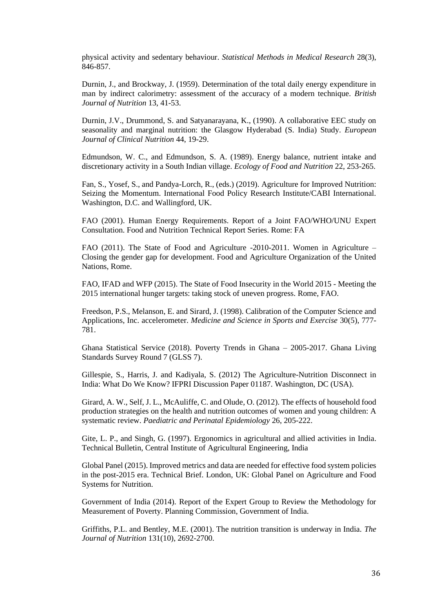physical activity and sedentary behaviour. *Statistical Methods in Medical Research* 28(3), 846-857.

Durnin, J., and Brockway, J. (1959). Determination of the total daily energy expenditure in man by indirect calorimetry: assessment of the accuracy of a modern technique. *British Journal of Nutrition* 13, 41-53.

Durnin, J.V., Drummond, S. and Satyanarayana, K., (1990). A collaborative EEC study on seasonality and marginal nutrition: the Glasgow Hyderabad (S. India) Study. *European Journal of Clinical Nutrition* 44, 19-29.

Edmundson, W. C., and Edmundson, S. A. (1989). Energy balance, nutrient intake and discretionary activity in a South Indian village. *Ecology of Food and Nutrition* 22, 253-265.

Fan, S., Yosef, S., and Pandya-Lorch, R., (eds.) (2019). Agriculture for Improved Nutrition: Seizing the Momentum. International Food Policy Research Institute/CABI International. Washington, D.C. and Wallingford, UK.

FAO (2001). Human Energy Requirements. Report of a Joint FAO/WHO/UNU Expert Consultation. Food and Nutrition Technical Report Series. Rome: FA

FAO (2011). The State of Food and Agriculture -2010-2011. Women in Agriculture – Closing the gender gap for development. Food and Agriculture Organization of the United Nations, Rome.

FAO, IFAD and WFP (2015). The State of Food Insecurity in the World 2015 - Meeting the 2015 international hunger targets: taking stock of uneven progress. Rome, FAO.

Freedson, P.S., Melanson, E. and Sirard, J. (1998). Calibration of the Computer Science and Applications, Inc. accelerometer. *Medicine and Science in Sports and Exercise* 30(5), 777- 781.

Ghana Statistical Service (2018). Poverty Trends in Ghana – 2005-2017. Ghana Living Standards Survey Round 7 (GLSS 7).

Gillespie, S., Harris, J. and Kadiyala, S. (2012) The Agriculture-Nutrition Disconnect in India: What Do We Know? IFPRI Discussion Paper 01187. Washington, DC (USA).

Girard, A. W., Self, J. L., McAuliffe, C. and Olude, O. (2012). The effects of household food production strategies on the health and nutrition outcomes of women and young children: A systematic review. *Paediatric and Perinatal Epidemiology* 26, 205-222.

Gite, L. P., and Singh, G. (1997). Ergonomics in agricultural and allied activities in India. Technical Bulletin, Central Institute of Agricultural Engineering, India

Global Panel (2015). Improved metrics and data are needed for effective food system policies in the post-2015 era. Technical Brief. London, UK: Global Panel on Agriculture and Food Systems for Nutrition.

Government of India (2014). Report of the Expert Group to Review the Methodology for Measurement of Poverty. Planning Commission, Government of India.

Griffiths, P.L. and Bentley, M.E. (2001). The nutrition transition is underway in India. *The Journal of Nutrition* 131(10), 2692-2700.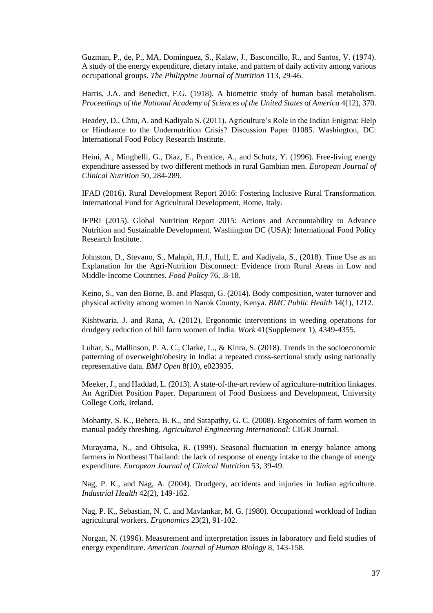Guzman, P., de, P., MA, Dominguez, S., Kalaw, J., Basconcillo, R., and Santos, V. (1974). A study of the energy expenditure, dietary intake, and pattern of daily activity among various occupational groups. *The Philippine Journal of Nutrition* 113, 29-46.

Harris, J.A. and Benedict, F.G. (1918). A biometric study of human basal metabolism. *Proceedings of the National Academy of Sciences of the United States of America* 4(12), 370.

Headey, D., Chiu, A. and Kadiyala S. (2011). Agriculture's Role in the Indian Enigma: Help or Hindrance to the Undernutrition Crisis? Discussion Paper 01085. Washington, DC: International Food Policy Research Institute.

Heini, A., Minghelli, G., Diaz, E., Prentice, A., and Schutz, Y. (1996). Free-living energy expenditure assessed by two different methods in rural Gambian men. *European Journal of Clinical Nutrition* 50, 284-289.

IFAD (2016). Rural Development Report 2016: Fostering Inclusive Rural Transformation. International Fund for Agricultural Development, Rome, Italy.

IFPRI (2015). Global Nutrition Report 2015: Actions and Accountability to Advance Nutrition and Sustainable Development. Washington DC (USA): International Food Policy Research Institute.

Johnston, D., Stevano, S., Malapit, H.J., Hull, E. and Kadiyala, S., (2018). Time Use as an Explanation for the Agri-Nutrition Disconnect: Evidence from Rural Areas in Low and Middle-Income Countries. *Food Policy* 76, .8-18.

Keino, S., van den Borne, B. and Plasqui, G. (2014). Body composition, water turnover and physical activity among women in Narok County, Kenya. *BMC Public Health* 14(1), 1212.

Kishtwaria, J. and Rana, A. (2012). Ergonomic interventions in weeding operations for drudgery reduction of hill farm women of India. *Work* 41(Supplement 1), 4349-4355.

Luhar, S., Mallinson, P. A. C., Clarke, L., & Kinra, S. (2018). Trends in the socioeconomic patterning of overweight/obesity in India: a repeated cross-sectional study using nationally representative data. *BMJ Open* 8(10), e023935.

Meeker, J., and Haddad, L. (2013). A state-of-the-art review of agriculture-nutrition linkages. An AgriDiet Position Paper. Department of Food Business and Development, University College Cork, Ireland.

Mohanty, S. K., Behera, B. K., and Satapathy, G. C. (2008). Ergonomics of farm women in manual paddy threshing. *Agricultural Engineering International*: CIGR Journal.

Murayama, N., and Ohtsuka, R. (1999). Seasonal fluctuation in energy balance among farmers in Northeast Thailand: the lack of response of energy intake to the change of energy expenditure. *European Journal of Clinical Nutrition* 53, 39-49.

Nag, P. K., and Nag, A. (2004). Drudgery, accidents and injuries in Indian agriculture. *Industrial Health* 42(2), 149-162.

Nag, P. K., Sebastian, N. C. and Mavlankar, M. G. (1980). Occupational workload of Indian agricultural workers. *Ergonomics* 23(2), 91-102.

Norgan, N. (1996). Measurement and interpretation issues in laboratory and field studies of energy expenditure. *American Journal of Human Biology* 8, 143-158.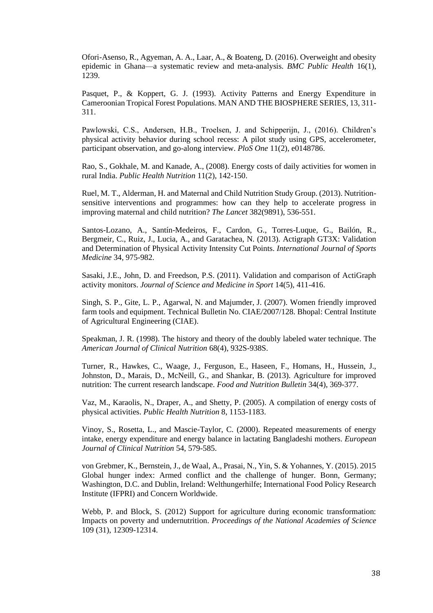Ofori-Asenso, R., Agyeman, A. A., Laar, A., & Boateng, D. (2016). Overweight and obesity epidemic in Ghana—a systematic review and meta-analysis. *BMC Public Health* 16(1), 1239.

Pasquet, P., & Koppert, G. J. (1993). Activity Patterns and Energy Expenditure in Cameroonian Tropical Forest Populations. MAN AND THE BIOSPHERE SERIES, 13, 311- 311.

Pawlowski, C.S., Andersen, H.B., Troelsen, J. and Schipperijn, J., (2016). Children's physical activity behavior during school recess: A pilot study using GPS, accelerometer, participant observation, and go-along interview. *PloS One* 11(2), e0148786.

Rao, S., Gokhale, M. and Kanade, A., (2008). Energy costs of daily activities for women in rural India. *Public Health Nutrition* 11(2), 142-150.

Ruel, M. T., Alderman, H. and Maternal and Child Nutrition Study Group. (2013). Nutritionsensitive interventions and programmes: how can they help to accelerate progress in improving maternal and child nutrition? *The Lancet* 382(9891), 536-551.

Santos-Lozano, A., Santín-Medeiros, F., Cardon, G., Torres-Luque, G., Bailón, R., Bergmeir, C., Ruiz, J., Lucia, A., and Garatachea, N. (2013). Actigraph GT3X: Validation and Determination of Physical Activity Intensity Cut Points. *International Journal of Sports Medicine* 34, 975-982.

Sasaki, J.E., John, D. and Freedson, P.S. (2011). Validation and comparison of ActiGraph activity monitors. *Journal of Science and Medicine in Sport* 14(5), 411-416.

Singh, S. P., Gite, L. P., Agarwal, N. and Majumder, J. (2007). Women friendly improved farm tools and equipment. Technical Bulletin No. CIAE/2007/128. Bhopal: Central Institute of Agricultural Engineering (CIAE).

Speakman, J. R. (1998). The history and theory of the doubly labeled water technique. The *American Journal of Clinical Nutrition* 68(4), 932S-938S.

Turner, R., Hawkes, C., Waage, J., Ferguson, E., Haseen, F., Homans, H., Hussein, J., Johnston, D., Marais, D., McNeill, G., and Shankar, B. (2013). Agriculture for improved nutrition: The current research landscape. *Food and Nutrition Bulletin* 34(4), 369-377.

Vaz, M., Karaolis, N., Draper, A., and Shetty, P. (2005). A compilation of energy costs of physical activities. *Public Health Nutrition* 8, 1153-1183.

Vinoy, S., Rosetta, L., and Mascie-Taylor, C. (2000). Repeated measurements of energy intake, energy expenditure and energy balance in lactating Bangladeshi mothers. *European Journal of Clinical Nutrition* 54, 579-585.

von Grebmer, K., Bernstein, J., de Waal, A., Prasai, N., Yin, S. & Yohannes, Y. (2015). 2015 Global hunger index: Armed conflict and the challenge of hunger. Bonn, Germany; Washington, D.C. and Dublin, Ireland: Welthungerhilfe; International Food Policy Research Institute (IFPRI) and Concern Worldwide.

Webb, P. and Block, S. (2012) Support for agriculture during economic transformation: Impacts on poverty and undernutrition. *Proceedings of the National Academies of Science* 109 (31), 12309-12314.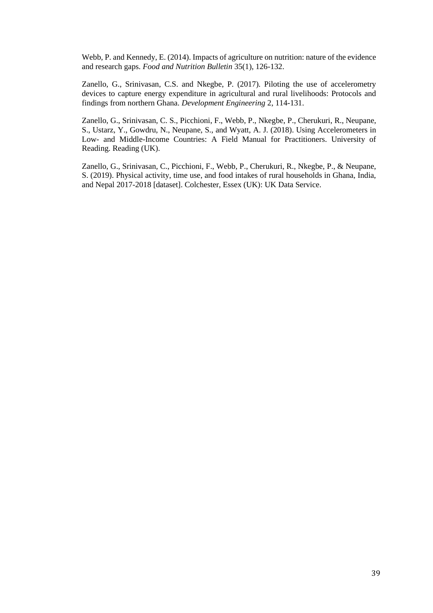Webb, P. and Kennedy, E. (2014). Impacts of agriculture on nutrition: nature of the evidence and research gaps. *Food and Nutrition Bulletin* 35(1), 126-132.

Zanello, G., Srinivasan, C.S. and Nkegbe, P. (2017). Piloting the use of accelerometry devices to capture energy expenditure in agricultural and rural livelihoods: Protocols and findings from northern Ghana. *Development Engineering* 2, 114-131.

Zanello, G., Srinivasan, C. S., Picchioni, F., Webb, P., Nkegbe, P., Cherukuri, R., Neupane, S., Ustarz, Y., Gowdru, N., Neupane, S., and Wyatt, A. J. (2018). Using Accelerometers in Low- and Middle-Income Countries: A Field Manual for Practitioners. University of Reading. Reading (UK).

Zanello, G., Srinivasan, C., Picchioni, F., Webb, P., Cherukuri, R., Nkegbe, P., & Neupane, S. (2019). Physical activity, time use, and food intakes of rural households in Ghana, India, and Nepal 2017-2018 [dataset]. Colchester, Essex (UK): UK Data Service.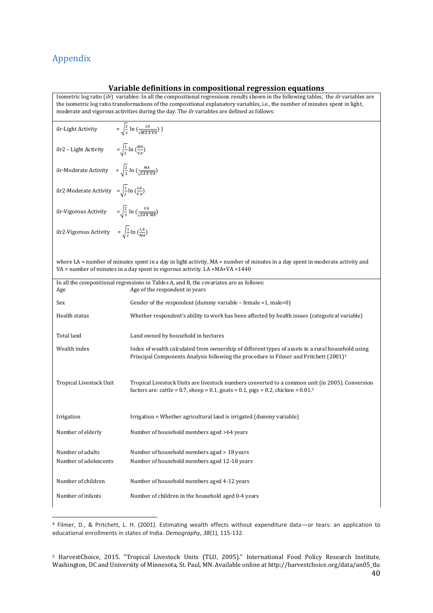# Appendix

#### **Variable definitions in compositional regression equations**

Isometric log ratio (*ilr*) variables: In all the compositional regressions results shown in the following tables, the *ilr* variables are the isometric log ratio transformations of the compositional explanatory variables, i.e., the number of minutes spent in light, moderate and vigorous activities during the day. The *ilr* variables are defined as follows:

| ilr-Light Activity                                                                        | $=\sqrt{\frac{2}{3}} \ln \left(\frac{LA}{\sqrt{MAXVA}}\right)$                                                                                                                                                       |
|-------------------------------------------------------------------------------------------|----------------------------------------------------------------------------------------------------------------------------------------------------------------------------------------------------------------------|
| ilr2 - Light Activity                                                                     | $=\sqrt{\frac{1}{2}}\ln\left(\frac{MA}{VA}\right)$                                                                                                                                                                   |
| ilr-Moderate Activity = $\sqrt{\frac{2}{3}} \ln \left( \frac{MA}{\sqrt{LAXVA}} \right)$   |                                                                                                                                                                                                                      |
| ilr2-Moderate Activity = $\sqrt{\frac{1}{2}} \ln \left( \frac{LA}{VA} \right)$            |                                                                                                                                                                                                                      |
| ilr-Vigorous Activity $=$ $\sqrt{\frac{2}{3}} \ln \left( \frac{VA}{\sqrt{LAXMA}} \right)$ |                                                                                                                                                                                                                      |
| ilr2-Vigorous Activity = $\sqrt{\frac{1}{2}} \ln \left( \frac{LA}{MA} \right)$            |                                                                                                                                                                                                                      |
|                                                                                           |                                                                                                                                                                                                                      |
|                                                                                           | where LA = number of minutes spent in a day in light activity, $MA$ = number of minutes in a day spent in moderate activity and<br>VA = number of minutes in a day spent in vigorous activity. $LA + MA + VA = 1440$ |
| Age                                                                                       | In all the compositional regressions in Tables A, and B, the covariates are as follows:<br>Age of the respondent in years                                                                                            |
| Sex                                                                                       | Gender of the respondent (dummy variable - female = 1, male=0)                                                                                                                                                       |
| Health status                                                                             | Whether respondent's ability to work has been affected by health issues (categorical variable)                                                                                                                       |
| Total land                                                                                | Land owned by household in hectares                                                                                                                                                                                  |
| Wealth index                                                                              | Index of wealth calculated from ownership of different types of assets in a rural household using<br>Principal Components Analysis following the procedure in Filmer and Pritchett (2001) <sup>4</sup>               |
|                                                                                           |                                                                                                                                                                                                                      |
| Tropical Livestock Unit                                                                   | Tropical Livestock Units are livestock numbers converted to a common unit (in 2005). Conversion<br>factors are: cattle = 0.7, sheep = 0.1, goats = 0.1, pigs = 0.2, chicken = $0.01$ . <sup>5</sup>                  |
|                                                                                           |                                                                                                                                                                                                                      |
| Irrigation                                                                                | Irrigation = Whether agricultural land is irrigated (dummy variable)                                                                                                                                                 |
| Number of elderly                                                                         | Number of household members aged >64 years                                                                                                                                                                           |
| Number of adults                                                                          | Number of household members aged > 18 years                                                                                                                                                                          |
| Number of adolescents                                                                     | Number of household members aged 12-18 years                                                                                                                                                                         |
| Number of children                                                                        | Number of household members aged 4-12 years                                                                                                                                                                          |
| Number of infants                                                                         | Number of children in the household aged 0-4 years                                                                                                                                                                   |
|                                                                                           |                                                                                                                                                                                                                      |

<sup>4</sup> Filmer, D., & Pritchett, L. H. (2001). Estimating wealth effects without expenditure data—or tears: an application to educational enrollments in states of India. *Demography*, *38*(1), 115-132.

<sup>5</sup> HarvestChoice, 2015. "Tropical Livestock Units (TLU, 2005)." International Food Policy Research Institute, Washington, DC and University of Minnesota, St. Paul, MN. Available online at http://harvestchoice.org/data/an05\_tlu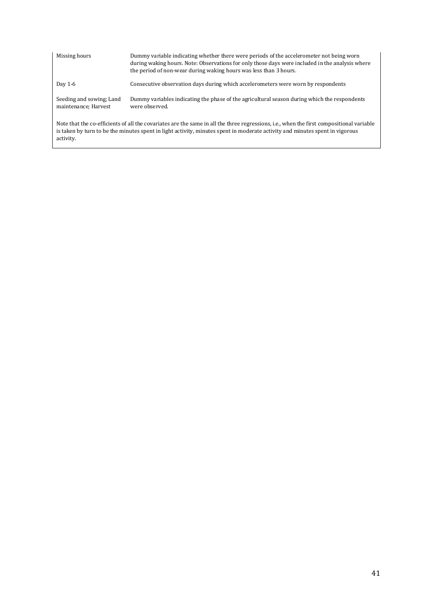| Missing hours                                                                                                                                                                                                                                                            | Dummy variable indicating whether there were periods of the accelerometer not being worn<br>during waking hours. Note: Observations for only those days were included in the analysis where<br>the period of non-wear during waking hours was less than 3 hours. |  |  |  |  |  |
|--------------------------------------------------------------------------------------------------------------------------------------------------------------------------------------------------------------------------------------------------------------------------|------------------------------------------------------------------------------------------------------------------------------------------------------------------------------------------------------------------------------------------------------------------|--|--|--|--|--|
| Day 1-6                                                                                                                                                                                                                                                                  | Consecutive observation days during which accelerometers were worn by respondents                                                                                                                                                                                |  |  |  |  |  |
| Seeding and sowing; Land<br>maintenance; Harvest                                                                                                                                                                                                                         | Dummy variables indicating the phase of the agricultural season during which the respondents<br>were observed.                                                                                                                                                   |  |  |  |  |  |
| Note that the co-efficients of all the covariates are the same in all the three regressions, i.e., when the first compositional variable<br>is taken by turn to be the minutes spent in light activity, minutes spent in moderate activity and minutes spent in vigorous |                                                                                                                                                                                                                                                                  |  |  |  |  |  |

activity.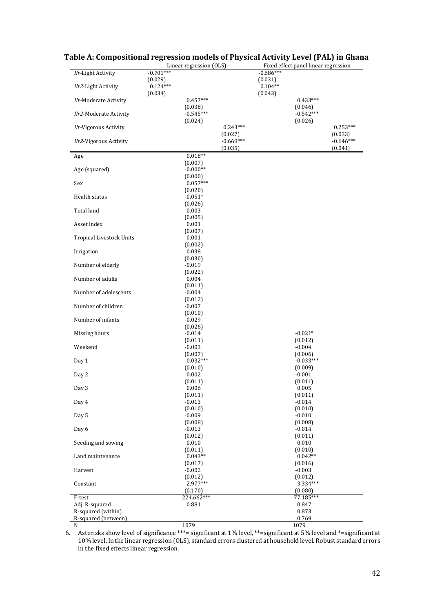|                                  |             | Linear regression (OLS) |                        |             | Fixed effect panel linear regression |                        |
|----------------------------------|-------------|-------------------------|------------------------|-------------|--------------------------------------|------------------------|
| <b>Ilr-Light Activity</b>        | $-0.701***$ |                         |                        | $-0.686***$ |                                      |                        |
|                                  | (0.029)     |                         |                        | (0.031)     |                                      |                        |
| Ilr2-Light Activity              | $0.124***$  |                         |                        | $0.104**$   |                                      |                        |
| Ilr-Moderate Activity            | (0.034)     | $0.457***$              |                        | (0.043)     | $0.433***$                           |                        |
|                                  |             | (0.038)                 |                        |             | (0.046)                              |                        |
| Ilr2-Moderate Activity           |             | $-0.545***$             |                        |             | $-0.542***$                          |                        |
|                                  |             | (0.024)                 |                        |             | (0.026)                              |                        |
| Ilr-Vigorous Activity            |             |                         | $0.243***$             |             |                                      | $0.253***$             |
|                                  |             |                         | (0.027)                |             |                                      | (0.033)<br>$-0.646***$ |
| Ilr2-Vigorous Activity           |             |                         | $-0.669***$<br>(0.035) |             |                                      | (0.041)                |
| Age                              |             | $0.018**$               |                        |             |                                      |                        |
|                                  |             | (0.007)                 |                        |             |                                      |                        |
| Age (squared)                    |             | $-0.000**$              |                        |             |                                      |                        |
|                                  |             | (0.000)                 |                        |             |                                      |                        |
| Sex                              |             | $0.057***$              |                        |             |                                      |                        |
| Health status                    |             | (0.020)<br>$-0.051*$    |                        |             |                                      |                        |
|                                  |             | (0.026)                 |                        |             |                                      |                        |
| Total land                       |             | 0.003                   |                        |             |                                      |                        |
|                                  |             | (0.005)                 |                        |             |                                      |                        |
| Asset index                      |             | 0.001                   |                        |             |                                      |                        |
|                                  |             | (0.007)                 |                        |             |                                      |                        |
| <b>Tropical Livestock Units</b>  |             | 0.001<br>(0.002)        |                        |             |                                      |                        |
| Irrigation                       |             | 0.038                   |                        |             |                                      |                        |
|                                  |             | (0.030)                 |                        |             |                                      |                        |
| Number of elderly                |             | $-0.019$                |                        |             |                                      |                        |
|                                  |             | (0.022)                 |                        |             |                                      |                        |
| Number of adults                 |             | 0.004                   |                        |             |                                      |                        |
| Number of adolescents            |             | (0.011)<br>$-0.004$     |                        |             |                                      |                        |
|                                  |             | (0.012)                 |                        |             |                                      |                        |
| Number of children               |             | $-0.007$                |                        |             |                                      |                        |
|                                  |             | (0.010)                 |                        |             |                                      |                        |
| Number of infants                |             | $-0.029$                |                        |             |                                      |                        |
|                                  |             | (0.026)                 |                        |             |                                      |                        |
| Missing hours                    |             | $-0.014$<br>(0.011)     |                        |             | $-0.021*$<br>(0.012)                 |                        |
| Weekend                          |             | $-0.003$                |                        |             | $-0.004$                             |                        |
|                                  |             | (0.007)                 |                        |             | (0.006)                              |                        |
| Day 1                            |             | $-0.032***$             |                        |             | $-0.033***$                          |                        |
|                                  |             | (0.010)                 |                        |             | (0.009)                              |                        |
| Day 2                            |             | $-0.002$                |                        |             | $-0.001$                             |                        |
| Day 3                            |             | (0.011)<br>0.006        |                        |             | (0.011)<br>0.005                     |                        |
|                                  |             | (0.011)                 |                        |             | (0.011)                              |                        |
| Day 4                            |             | $-0.013$                |                        |             | $-0.014$                             |                        |
|                                  |             | (0.010)                 |                        |             | (0.010)                              |                        |
| Day 5                            |             | $-0.009$                |                        |             | $-0.010$                             |                        |
| Day 6                            |             | (0.008)<br>$-0.013$     |                        |             | (0.008)<br>$-0.014$                  |                        |
|                                  |             | (0.012)                 |                        |             | (0.011)                              |                        |
| Seeding and sowing               |             | 0.010                   |                        |             | 0.010                                |                        |
|                                  |             | (0.011)                 |                        |             | (0.010)                              |                        |
| Land maintenance                 |             | $0.043**$               |                        |             | $0.042**$                            |                        |
|                                  |             | (0.017)                 |                        |             | (0.016)                              |                        |
| Harvest                          |             | $-0.002$<br>(0.012)     |                        |             | $-0.003$<br>(0.012)                  |                        |
| Constant                         |             | 2.977***                |                        |             | 3.334***                             |                        |
|                                  |             | (0.170)                 |                        |             | (0.080)                              |                        |
| F-test                           |             | 224.662***              |                        |             | 77.185***                            |                        |
| Adj. R-squared                   |             | 0.881                   |                        |             | 0.847                                |                        |
| R-squared (within)               |             |                         |                        |             | 0.873                                |                        |
| R-squared (between)<br>${\bf N}$ |             | 1079                    |                        |             | 0.769<br>1079                        |                        |
|                                  |             |                         |                        |             |                                      |                        |

| Table A: Compositional regression models of Physical Activity Level (PAL) in Ghana |
|------------------------------------------------------------------------------------|
|------------------------------------------------------------------------------------|

6. Asterisks show level of significance \*\*\*= significant at 1% level, \*\*=significant at 5% level and \*=significant at 10% level. In the linear regression (OLS), standard errors clustered at household level. Robust standard errors in the fixed effects linear regression.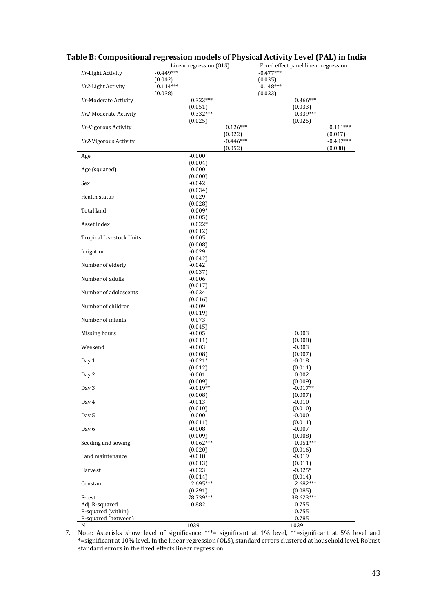|                                 |                                  | Linear regression (OLS) |                        |                                  | Fixed effect panel linear regression |                        |
|---------------------------------|----------------------------------|-------------------------|------------------------|----------------------------------|--------------------------------------|------------------------|
| <b>Ilr-Light Activity</b>       | $-0.449***$                      |                         |                        | $-0.477***$                      |                                      |                        |
| Ilr2-Light Activity             | (0.042)<br>$0.114***$<br>(0.038) |                         |                        | (0.035)<br>$0.148***$<br>(0.023) |                                      |                        |
| Ilr-Moderate Activity           |                                  | $0.323***$<br>(0.051)   |                        |                                  | $0.366***$<br>(0.033)                |                        |
| Ilr2-Moderate Activity          |                                  | $-0.332***$<br>(0.025)  |                        |                                  | $-0.339***$<br>(0.025)               |                        |
| Ilr-Vigorous Activity           |                                  |                         | $0.126***$<br>(0.022)  |                                  |                                      | $0.111***$<br>(0.017)  |
| Ilr2-Vigorous Activity          |                                  |                         | $-0.446***$<br>(0.052) |                                  |                                      | $-0.487***$<br>(0.038) |
| Age                             |                                  | $-0.000$<br>(0.004)     |                        |                                  |                                      |                        |
| Age (squared)                   |                                  | 0.000<br>(0.000)        |                        |                                  |                                      |                        |
| Sex                             |                                  | $-0.042$<br>(0.034)     |                        |                                  |                                      |                        |
| Health status                   |                                  | 0.029                   |                        |                                  |                                      |                        |
| Total land                      |                                  | (0.028)<br>$0.009*$     |                        |                                  |                                      |                        |
| Asset index                     |                                  | (0.005)<br>$0.022*$     |                        |                                  |                                      |                        |
| <b>Tropical Livestock Units</b> |                                  | (0.012)<br>$-0.005$     |                        |                                  |                                      |                        |
| Irrigation                      |                                  | (0.008)<br>$-0.029$     |                        |                                  |                                      |                        |
| Number of elderly               |                                  | (0.042)<br>$-0.042$     |                        |                                  |                                      |                        |
| Number of adults                |                                  | (0.037)<br>$-0.006$     |                        |                                  |                                      |                        |
| Number of adolescents           |                                  | (0.017)<br>$-0.024$     |                        |                                  |                                      |                        |
| Number of children              |                                  | (0.016)<br>$-0.009$     |                        |                                  |                                      |                        |
| Number of infants               |                                  | (0.019)<br>$-0.073$     |                        |                                  |                                      |                        |
| Missing hours                   |                                  | (0.045)<br>$-0.005$     |                        |                                  | 0.003                                |                        |
| Weekend                         |                                  | (0.011)<br>$-0.003$     |                        |                                  | (0.008)<br>$-0.003$                  |                        |
| Day 1                           |                                  | (0.008)<br>$-0.021*$    |                        |                                  | (0.007)<br>$-0.018$                  |                        |
| Day 2                           |                                  | (0.012)<br>$-0.001$     |                        |                                  | (0.011)<br>0.002                     |                        |
| Day 3                           |                                  | (0.009)<br>$-0.019**$   |                        |                                  | (0.009)<br>$-0.017**$                |                        |
| Day 4                           |                                  | (0.008)<br>$-0.013$     |                        |                                  | (0.007)<br>$-0.010$                  |                        |
| Day 5                           |                                  | (0.010)<br>0.000        |                        |                                  | (0.010)<br>$-0.000$                  |                        |
| Day 6                           |                                  | (0.011)<br>$-0.008$     |                        |                                  | (0.011)<br>$-0.007$                  |                        |
| Seeding and sowing              |                                  | (0.009)<br>$0.062***$   |                        |                                  | (0.008)<br>$0.051***$                |                        |
| Land maintenance                |                                  | (0.020)<br>$-0.018$     |                        |                                  | (0.016)<br>$-0.019$                  |                        |
| Harvest                         |                                  | (0.013)<br>$-0.023$     |                        |                                  | (0.011)<br>$-0.025*$                 |                        |
| Constant                        |                                  | (0.014)<br>2.695***     |                        |                                  | (0.014)<br>2.682***                  |                        |
|                                 |                                  | (0.291)<br>78.739***    |                        |                                  | (0.085)                              |                        |
| F-test<br>Adj. R-squared        |                                  | 0.882                   |                        |                                  | 38.623***<br>0.755                   |                        |
| R-squared (within)              |                                  |                         |                        |                                  | 0.755                                |                        |
| R-squared (between)             |                                  |                         |                        |                                  | 0.785                                |                        |
| ${\bf N}$                       |                                  | 1039                    |                        |                                  | 1039                                 |                        |

# **Table B: Compositional regression models of Physical Activity Level (PAL) in India**

7. Note: Asterisks show level of significance \*\*\*= significant at 1% level, \*\*=significant at 5% level and \*=significant at 10% level. In the linear regression (OLS), standard errors clustered at household level. Robust standard errors in the fixed effects linear regression